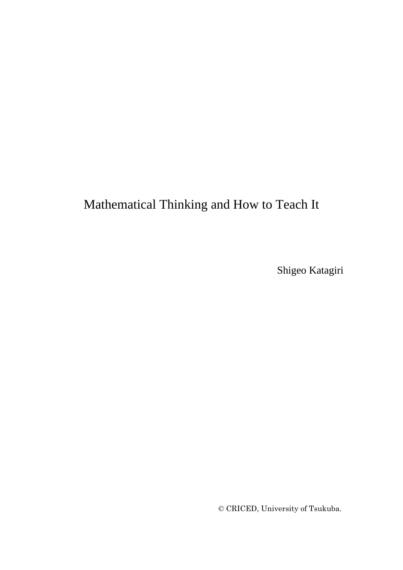# Mathematical Thinking and How to Teach It

Shigeo Katagiri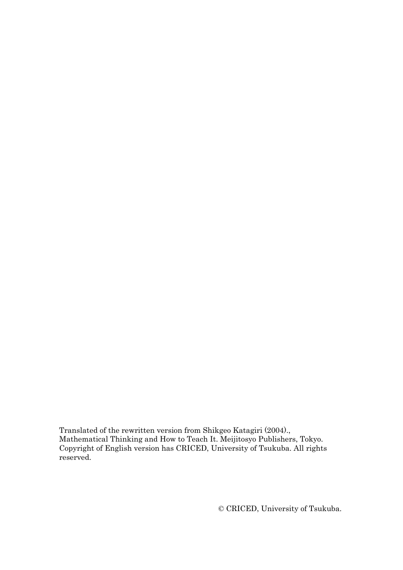Translated of the rewritten version from Shikgeo Katagiri (2004)., Mathematical Thinking and How to Teach It. Meijitosyo Publishers, Tokyo. Copyright of English version has CRICED, University of Tsukuba. All rights reserved.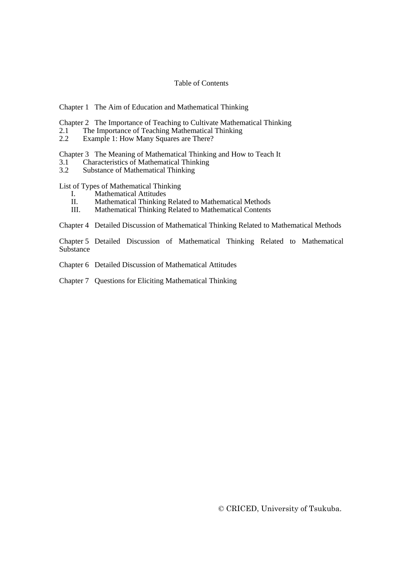#### Table of Contents

#### Chapter 1 The Aim of Education and Mathematical Thinking

Chapter 2 The Importance of Teaching to Cultivate Mathematical Thinking

- 2.1 The Importance of Teaching Mathematical Thinking
- 2.2 Example 1: How Many Squares are There?

Chapter 3 The Meaning of Mathematical Thinking and How to Teach It

- 3.1 Characteristics of Mathematical Thinking<br>3.2 Substance of Mathematical Thinking
- Substance of Mathematical Thinking

List of Types of Mathematical Thinking

- I. Mathematical Attitudes
- II. Mathematical Thinking Related to Mathematical Methods
- Mathematical Thinking Related to Mathematical Contents

Chapter 4 Detailed Discussion of Mathematical Thinking Related to Mathematical Methods

Chapter 5 Detailed Discussion of Mathematical Thinking Related to Mathematical **Sub**stance

- Chapter 6 Detailed Discussion of Mathematical Attitudes
- Chapter 7 Questions for Eliciting Mathematical Thinking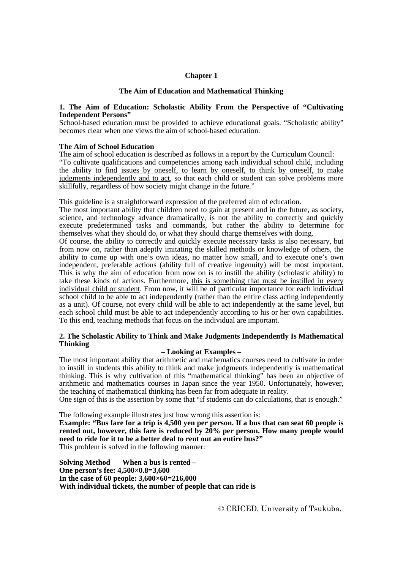## **Chapter 1**

#### **The Aim of Education and Mathematical Thinking**

#### **1. The Aim of Education: Scholastic Ability From the Perspective of "Cultivating Independent Persons"**

School-based education must be provided to achieve educational goals. "Scholastic ability" becomes clear when one views the aim of school-based education.

#### **The Aim of School Education**

The aim of school education is described as follows in a report by the Curriculum Council: "To cultivate qualifications and competencies among each individual school child, including the ability to find issues by oneself, to learn by oneself, to think by oneself, to make judgments independently and to act, so that each child or student can solve problems more skillfully, regardless of how society might change in the future."

This guideline is a straightforward expression of the preferred aim of education.

The most important ability that children need to gain at present and in the future, as society, science, and technology advance dramatically, is not the ability to correctly and quickly execute predetermined tasks and commands, but rather the ability to determine for themselves what they should do, or what they should charge themselves with doing.

Of course, the ability to correctly and quickly execute necessary tasks is also necessary, but from now on, rather than adeptly imitating the skilled methods or knowledge of others, the ability to come up with one's own ideas, no matter how small, and to execute one's own independent, preferable actions (ability full of creative ingenuity) will be most important. This is why the aim of education from now on is to instill the ability (scholastic ability) to take these kinds of actions. Furthermore, this is something that must be instilled in every individual child or student. From now, it will be of particular importance for each individual school child to be able to act independently (rather than the entire class acting independently as a unit). Of course, not every child will be able to act independently at the same level, but each school child must be able to act independently according to his or her own capabilities. To this end, teaching methods that focus on the individual are important.

#### **2. The Scholastic Ability to Think and Make Judgments Independently Is Mathematical Thinking**

## **– Looking at Examples –**

The most important ability that arithmetic and mathematics courses need to cultivate in order to instill in students this ability to think and make judgments independently is mathematical thinking. This is why cultivation of this "mathematical thinking" has been an objective of arithmetic and mathematics courses in Japan since the year 1950. Unfortunately, however, the teaching of mathematical thinking has been far from adequate in reality.

One sign of this is the assertion by some that "if students can do calculations, that is enough."

The following example illustrates just how wrong this assertion is:

**Example: "Bus fare for a trip is 4,500 yen per person. If a bus that can seat 60 people is rented out, however, this fare is reduced by 20% per person. How many people would need to ride for it to be a better deal to rent out an entire bus?"** 

This problem is solved in the following manner:

**Solving Method When a bus is rented – One person's fee: 4,500×0.8=3,600 In the case of 60 people: 3,600×60=216,000 With individual tickets, the number of people that can ride is**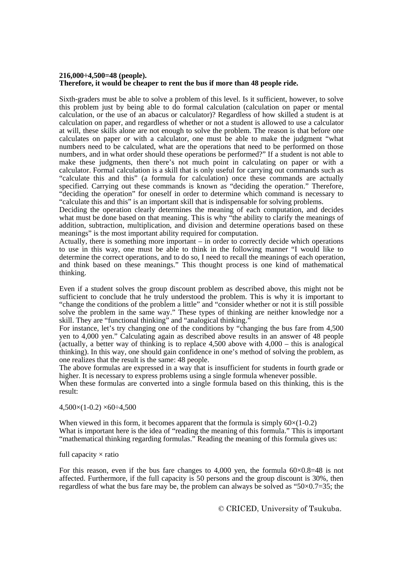## **216,000÷4,500=48 (people). Therefore, it would be cheaper to rent the bus if more than 48 people ride.**

Sixth-graders must be able to solve a problem of this level. Is it sufficient, however, to solve this problem just by being able to do formal calculation (calculation on paper or mental calculation, or the use of an abacus or calculator)? Regardless of how skilled a student is at calculation on paper, and regardless of whether or not a student is allowed to use a calculator at will, these skills alone are not enough to solve the problem. The reason is that before one calculates on paper or with a calculator, one must be able to make the judgment "what numbers need to be calculated, what are the operations that need to be performed on those numbers, and in what order should these operations be performed?" If a student is not able to make these judgments, then there's not much point in calculating on paper or with a calculator. Formal calculation is a skill that is only useful for carrying out commands such as "calculate this and this" (a formula for calculation) once these commands are actually specified. Carrying out these commands is known as "deciding the operation." Therefore, "deciding the operation" for oneself in order to determine which command is necessary to "calculate this and this" is an important skill that is indispensable for solving problems.

Deciding the operation clearly determines the meaning of each computation, and decides what must be done based on that meaning. This is why "the ability to clarify the meanings of addition, subtraction, multiplication, and division and determine operations based on these meanings" is the most important ability required for computation.

Actually, there is something more important – in order to correctly decide which operations to use in this way, one must be able to think in the following manner "I would like to determine the correct operations, and to do so, I need to recall the meanings of each operation, and think based on these meanings." This thought process is one kind of mathematical thinking.

Even if a student solves the group discount problem as described above, this might not be sufficient to conclude that he truly understood the problem. This is why it is important to "change the conditions of the problem a little" and "consider whether or not it is still possible solve the problem in the same way." These types of thinking are neither knowledge nor a skill. They are "functional thinking" and "analogical thinking."

For instance, let's try changing one of the conditions by "changing the bus fare from 4,500 yen to 4,000 yen." Calculating again as described above results in an answer of 48 people (actually, a better way of thinking is to replace 4,500 above with 4,000 – this is analogical thinking). In this way, one should gain confidence in one's method of solving the problem, as one realizes that the result is the same: 48 people.

The above formulas are expressed in a way that is insufficient for students in fourth grade or higher. It is necessary to express problems using a single formula whenever possible.

When these formulas are converted into a single formula based on this thinking, this is the result:

 $4,500\times(1-0.2)\times60\div4,500$ 

When viewed in this form, it becomes apparent that the formula is simply  $60\times(1-0.2)$ What is important here is the idea of "reading the meaning of this formula." This is important "mathematical thinking regarding formulas." Reading the meaning of this formula gives us:

full capacity  $\times$  ratio

For this reason, even if the bus fare changes to 4,000 yen, the formula  $60\times0.8=48$  is not affected. Furthermore, if the full capacity is 50 persons and the group discount is 30%, then regardless of what the bus fare may be, the problem can always be solved as " $50\times0.7=35$ ; the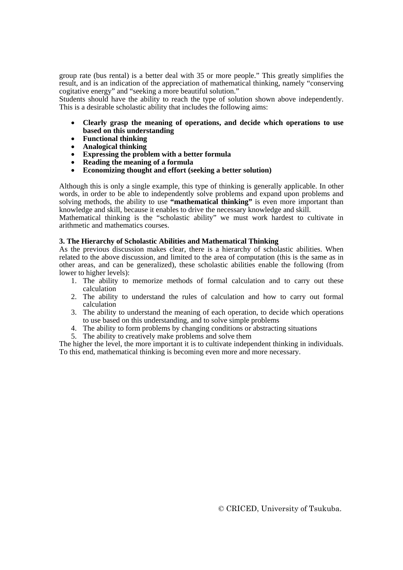group rate (bus rental) is a better deal with 35 or more people." This greatly simplifies the result, and is an indication of the appreciation of mathematical thinking, namely "conserving cogitative energy" and "seeking a more beautiful solution."

Students should have the ability to reach the type of solution shown above independently. This is a desirable scholastic ability that includes the following aims:

- **Clearly grasp the meaning of operations, and decide which operations to use based on this understanding**
- **Functional thinking**
- **Analogical thinking**
- **Expressing the problem with a better formula**
- **Reading the meaning of a formula**
- **Economizing thought and effort (seeking a better solution)**

Although this is only a single example, this type of thinking is generally applicable. In other words, in order to be able to independently solve problems and expand upon problems and solving methods, the ability to use **"mathematical thinking"** is even more important than knowledge and skill, because it enables to drive the necessary knowledge and skill.

Mathematical thinking is the "scholastic ability" we must work hardest to cultivate in arithmetic and mathematics courses.

#### **3. The Hierarchy of Scholastic Abilities and Mathematical Thinking**

As the previous discussion makes clear, there is a hierarchy of scholastic abilities. When related to the above discussion, and limited to the area of computation (this is the same as in other areas, and can be generalized), these scholastic abilities enable the following (from lower to higher levels):

- 1. The ability to memorize methods of formal calculation and to carry out these calculation
- 2. The ability to understand the rules of calculation and how to carry out formal calculation
- 3. The ability to understand the meaning of each operation, to decide which operations to use based on this understanding, and to solve simple problems
- 4. The ability to form problems by changing conditions or abstracting situations
- 5. The ability to creatively make problems and solve them

The higher the level, the more important it is to cultivate independent thinking in individuals. To this end, mathematical thinking is becoming even more and more necessary.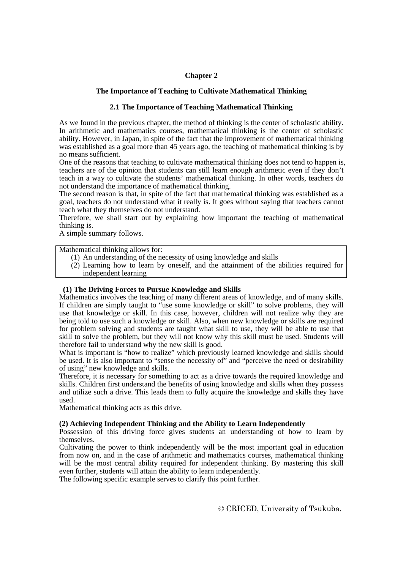## **Chapter 2**

## **The Importance of Teaching to Cultivate Mathematical Thinking**

## **2.1 The Importance of Teaching Mathematical Thinking**

As we found in the previous chapter, the method of thinking is the center of scholastic ability. In arithmetic and mathematics courses, mathematical thinking is the center of scholastic ability. However, in Japan, in spite of the fact that the improvement of mathematical thinking was established as a goal more than 45 years ago, the teaching of mathematical thinking is by no means sufficient.

One of the reasons that teaching to cultivate mathematical thinking does not tend to happen is, teachers are of the opinion that students can still learn enough arithmetic even if they don't teach in a way to cultivate the students' mathematical thinking. In other words, teachers do not understand the importance of mathematical thinking.

The second reason is that, in spite of the fact that mathematical thinking was established as a goal, teachers do not understand what it really is. It goes without saying that teachers cannot teach what they themselves do not understand.

Therefore, we shall start out by explaining how important the teaching of mathematical thinking is.

A simple summary follows.

Mathematical thinking allows for:

- (1) An understanding of the necessity of using knowledge and skills
- (2) Learning how to learn by oneself, and the attainment of the abilities required for independent learning

## **(1) The Driving Forces to Pursue Knowledge and Skills**

Mathematics involves the teaching of many different areas of knowledge, and of many skills. If children are simply taught to "use some knowledge or skill" to solve problems, they will use that knowledge or skill. In this case, however, children will not realize why they are being told to use such a knowledge or skill. Also, when new knowledge or skills are required for problem solving and students are taught what skill to use, they will be able to use that skill to solve the problem, but they will not know why this skill must be used. Students will therefore fail to understand why the new skill is good.

What is important is "how to realize" which previously learned knowledge and skills should be used. It is also important to "sense the necessity of" and "perceive the need or desirability of using" new knowledge and skills.

Therefore, it is necessary for something to act as a drive towards the required knowledge and skills. Children first understand the benefits of using knowledge and skills when they possess and utilize such a drive. This leads them to fully acquire the knowledge and skills they have used.

Mathematical thinking acts as this drive.

## **(2) Achieving Independent Thinking and the Ability to Learn Independently**

Possession of this driving force gives students an understanding of how to learn by themselves.

Cultivating the power to think independently will be the most important goal in education from now on, and in the case of arithmetic and mathematics courses, mathematical thinking will be the most central ability required for independent thinking. By mastering this skill even further, students will attain the ability to learn independently.

The following specific example serves to clarify this point further.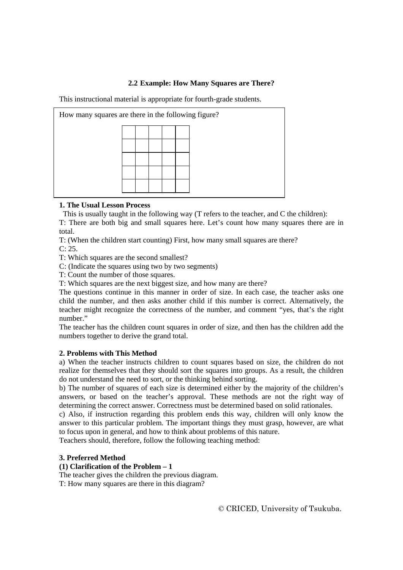## **2.2 Example: How Many Squares are There?**

This instructional material is appropriate for fourth-grade students.



## **1. The Usual Lesson Process**

This is usually taught in the following way (T refers to the teacher, and C the children):

T: There are both big and small squares here. Let's count how many squares there are in total.

T: (When the children start counting) First, how many small squares are there? C: 25.

T: Which squares are the second smallest?

C: (Indicate the squares using two by two segments)

T: Count the number of those squares.

T: Which squares are the next biggest size, and how many are there?

The questions continue in this manner in order of size. In each case, the teacher asks one child the number, and then asks another child if this number is correct. Alternatively, the teacher might recognize the correctness of the number, and comment "yes, that's the right number"

The teacher has the children count squares in order of size, and then has the children add the numbers together to derive the grand total.

## **2. Problems with This Method**

a) When the teacher instructs children to count squares based on size, the children do not realize for themselves that they should sort the squares into groups. As a result, the children do not understand the need to sort, or the thinking behind sorting.

b) The number of squares of each size is determined either by the majority of the children's answers, or based on the teacher's approval. These methods are not the right way of determining the correct answer. Correctness must be determined based on solid rationales.

c) Also, if instruction regarding this problem ends this way, children will only know the answer to this particular problem. The important things they must grasp, however, are what to focus upon in general, and how to think about problems of this nature.

Teachers should, therefore, follow the following teaching method:

## **3. Preferred Method**

## **(1) Clarification of the Problem – 1**

The teacher gives the children the previous diagram. T: How many squares are there in this diagram?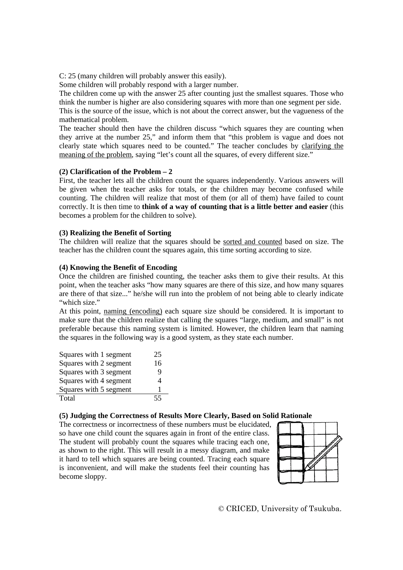C: 25 (many children will probably answer this easily).

Some children will probably respond with a larger number.

The children come up with the answer 25 after counting just the smallest squares. Those who think the number is higher are also considering squares with more than one segment per side.

This is the source of the issue, which is not about the correct answer, but the vagueness of the mathematical problem.

The teacher should then have the children discuss "which squares they are counting when they arrive at the number 25," and inform them that "this problem is vague and does not clearly state which squares need to be counted." The teacher concludes by clarifying the meaning of the problem, saying "let's count all the squares, of every different size."

## **(2) Clarification of the Problem – 2**

First, the teacher lets all the children count the squares independently. Various answers will be given when the teacher asks for totals, or the children may become confused while counting. The children will realize that most of them (or all of them) have failed to count correctly. It is then time to **think of a way of counting that is a little better and easier** (this becomes a problem for the children to solve).

## **(3) Realizing the Benefit of Sorting**

The children will realize that the squares should be sorted and counted based on size. The teacher has the children count the squares again, this time sorting according to size.

## **(4) Knowing the Benefit of Encoding**

Once the children are finished counting, the teacher asks them to give their results. At this point, when the teacher asks "how many squares are there of this size, and how many squares are there of that size..." he/she will run into the problem of not being able to clearly indicate "which size."

At this point, naming (encoding) each square size should be considered. It is important to make sure that the children realize that calling the squares "large, medium, and small" is not preferable because this naming system is limited. However, the children learn that naming the squares in the following way is a good system, as they state each number.

| Squares with 1 segment | 25 |
|------------------------|----|
| Squares with 2 segment | 16 |
| Squares with 3 segment | 9  |
| Squares with 4 segment | 4  |
| Squares with 5 segment | 1  |
| Total                  | 55 |

## **(5) Judging the Correctness of Results More Clearly, Based on Solid Rationale**

The correctness or incorrectness of these numbers must be elucidated, so have one child count the squares again in front of the entire class. The student will probably count the squares while tracing each one, as shown to the right. This will result in a messy diagram, and make it hard to tell which squares are being counted. Tracing each square is inconvenient, and will make the students feel their counting has become sloppy.

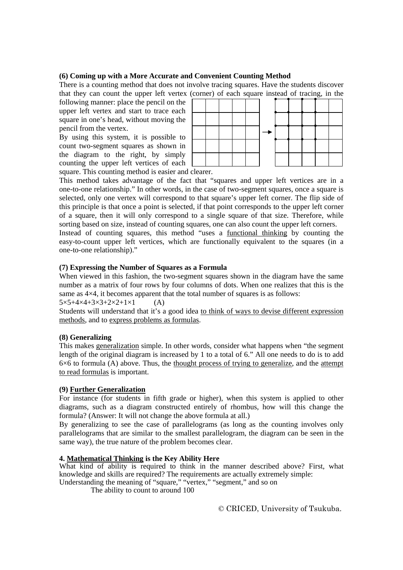## **(6) Coming up with a More Accurate and Convenient Counting Method**

There is a counting method that does not involve tracing squares. Have the students discover that they can count the upper left vertex (corner) of each square instead of tracing, in the

following manner: place the pencil on the upper left vertex and start to trace each square in one's head, without moving the pencil from the vertex.

By using this system, it is possible to count two-segment squares as shown in the diagram to the right, by simply counting the upper left vertices of each square. This counting method is easier and clearer.



This method takes advantage of the fact that "squares and upper left vertices are in a one-to-one relationship." In other words, in the case of two-segment squares, once a square is selected, only one vertex will correspond to that square's upper left corner. The flip side of this principle is that once a point is selected, if that point corresponds to the upper left corner of a square, then it will only correspond to a single square of that size. Therefore, while sorting based on size, instead of counting squares, one can also count the upper left corners. Instead of counting squares, this method "uses a functional thinking by counting the

easy-to-count upper left vertices, which are functionally equivalent to the squares (in a one-to-one relationship)."

## **(7) Expressing the Number of Squares as a Formula**

When viewed in this fashion, the two-segment squares shown in the diagram have the same number as a matrix of four rows by four columns of dots. When one realizes that this is the same as  $4\times4$ , it becomes apparent that the total number of squares is as follows:

 $5 \times 5 + 4 \times 4 + 3 \times 3 + 2 \times 2 + 1 \times 1$  (A)

Students will understand that it's a good idea to think of ways to devise different expression methods, and to express problems as formulas.

## **(8) Generalizing**

This makes generalization simple. In other words, consider what happens when "the segment length of the original diagram is increased by 1 to a total of 6." All one needs to do is to add  $6\times6$  to formula (A) above. Thus, the thought process of trying to generalize, and the attempt to read formulas is important.

## **(9) Further Generalization**

For instance (for students in fifth grade or higher), when this system is applied to other diagrams, such as a diagram constructed entirely of rhombus, how will this change the formula? (Answer: It will not change the above formula at all.)

By generalizing to see the case of parallelograms (as long as the counting involves only parallelograms that are similar to the smallest parallelogram, the diagram can be seen in the same way), the true nature of the problem becomes clear.

## **4. Mathematical Thinking is the Key Ability Here**

What kind of ability is required to think in the manner described above? First, what knowledge and skills are required? The requirements are actually extremely simple: Understanding the meaning of "square," "vertex," "segment," and so on

The ability to count to around 100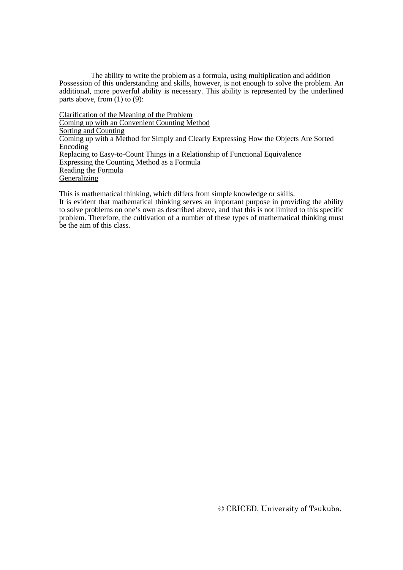The ability to write the problem as a formula, using multiplication and addition Possession of this understanding and skills, however, is not enough to solve the problem. An additional, more powerful ability is necessary. This ability is represented by the underlined parts above, from  $(1)$  to  $(9)$ :

Clarification of the Meaning of the Problem Coming up with an Convenient Counting Method Sorting and Counting Coming up with a Method for Simply and Clearly Expressing How the Objects Are Sorted Encoding Replacing to Easy-to-Count Things in a Relationship of Functional Equivalence Expressing the Counting Method as a Formula Reading the Formula Generalizing

This is mathematical thinking, which differs from simple knowledge or skills. It is evident that mathematical thinking serves an important purpose in providing the ability to solve problems on one's own as described above, and that this is not limited to this specific problem. Therefore, the cultivation of a number of these types of mathematical thinking must be the aim of this class.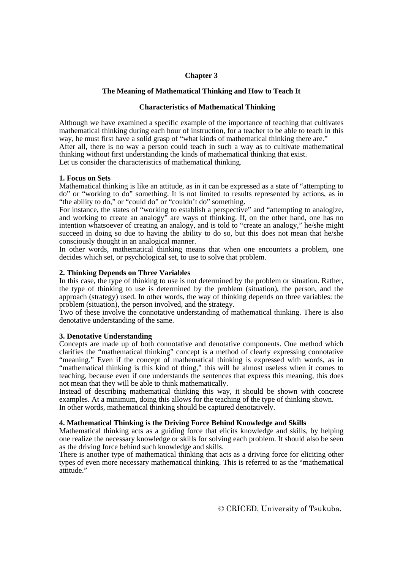## **Chapter 3**

## **The Meaning of Mathematical Thinking and How to Teach It**

## **Characteristics of Mathematical Thinking**

Although we have examined a specific example of the importance of teaching that cultivates mathematical thinking during each hour of instruction, for a teacher to be able to teach in this way, he must first have a solid grasp of "what kinds of mathematical thinking there are." After all, there is no way a person could teach in such a way as to cultivate mathematical thinking without first understanding the kinds of mathematical thinking that exist. Let us consider the characteristics of mathematical thinking.

#### **1. Focus on Sets**

Mathematical thinking is like an attitude, as in it can be expressed as a state of "attempting to do" or "working to do" something. It is not limited to results represented by actions, as in "the ability to do," or "could do" or "couldn't do" something.

For instance, the states of "working to establish a perspective" and "attempting to analogize, and working to create an analogy" are ways of thinking. If, on the other hand, one has no intention whatsoever of creating an analogy, and is told to "create an analogy," he/she might succeed in doing so due to having the ability to do so, but this does not mean that he/she consciously thought in an analogical manner.

In other words, mathematical thinking means that when one encounters a problem, one decides which set, or psychological set, to use to solve that problem.

#### **2. Thinking Depends on Three Variables**

In this case, the type of thinking to use is not determined by the problem or situation. Rather, the type of thinking to use is determined by the problem (situation), the person, and the approach (strategy) used. In other words, the way of thinking depends on three variables: the problem (situation), the person involved, and the strategy.

Two of these involve the connotative understanding of mathematical thinking. There is also denotative understanding of the same.

## **3. Denotative Understanding**

Concepts are made up of both connotative and denotative components. One method which clarifies the "mathematical thinking" concept is a method of clearly expressing connotative "meaning." Even if the concept of mathematical thinking is expressed with words, as in "mathematical thinking is this kind of thing," this will be almost useless when it comes to teaching, because even if one understands the sentences that express this meaning, this does not mean that they will be able to think mathematically.

Instead of describing mathematical thinking this way, it should be shown with concrete examples. At a minimum, doing this allows for the teaching of the type of thinking shown. In other words, mathematical thinking should be captured denotatively.

#### **4. Mathematical Thinking is the Driving Force Behind Knowledge and Skills**

Mathematical thinking acts as a guiding force that elicits knowledge and skills, by helping one realize the necessary knowledge or skills for solving each problem. It should also be seen as the driving force behind such knowledge and skills.

There is another type of mathematical thinking that acts as a driving force for eliciting other types of even more necessary mathematical thinking. This is referred to as the "mathematical attitude."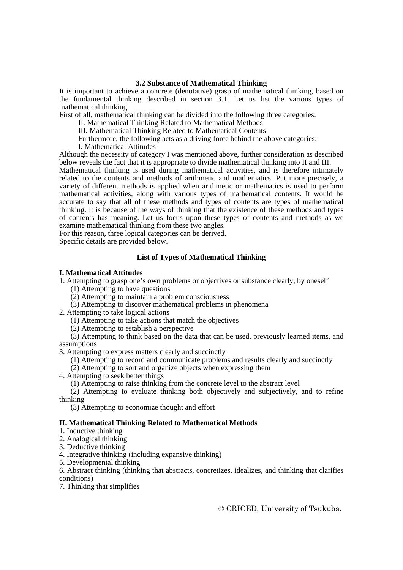#### **3.2 Substance of Mathematical Thinking**

It is important to achieve a concrete (denotative) grasp of mathematical thinking, based on the fundamental thinking described in section 3.1. Let us list the various types of mathematical thinking.

First of all, mathematical thinking can be divided into the following three categories:

II. Mathematical Thinking Related to Mathematical Methods

III. Mathematical Thinking Related to Mathematical Contents

Furthermore, the following acts as a driving force behind the above categories:

I. Mathematical Attitudes

Although the necessity of category I was mentioned above, further consideration as described below reveals the fact that it is appropriate to divide mathematical thinking into II and III.

Mathematical thinking is used during mathematical activities, and is therefore intimately related to the contents and methods of arithmetic and mathematics. Put more precisely, a variety of different methods is applied when arithmetic or mathematics is used to perform mathematical activities, along with various types of mathematical contents. It would be accurate to say that all of these methods and types of contents are types of mathematical thinking. It is because of the ways of thinking that the existence of these methods and types of contents has meaning. Let us focus upon these types of contents and methods as we examine mathematical thinking from these two angles.

For this reason, three logical categories can be derived.

Specific details are provided below.

## **List of Types of Mathematical Thinking**

#### **I. Mathematical Attitudes**

1. Attempting to grasp one's own problems or objectives or substance clearly, by oneself

(1) Attempting to have questions

(2) Attempting to maintain a problem consciousness

- (3) Attempting to discover mathematical problems in phenomena
- 2. Attempting to take logical actions

(1) Attempting to take actions that match the objectives

(2) Attempting to establish a perspective

 (3) Attempting to think based on the data that can be used, previously learned items, and assumptions

3. Attempting to express matters clearly and succinctly

(1) Attempting to record and communicate problems and results clearly and succinctly

(2) Attempting to sort and organize objects when expressing them

4. Attempting to seek better things

(1) Attempting to raise thinking from the concrete level to the abstract level

 (2) Attempting to evaluate thinking both objectively and subjectively, and to refine thinking

(3) Attempting to economize thought and effort

## **II. Mathematical Thinking Related to Mathematical Methods**

1. Inductive thinking

2. Analogical thinking

3. Deductive thinking

4. Integrative thinking (including expansive thinking)

5. Developmental thinking

6. Abstract thinking (thinking that abstracts, concretizes, idealizes, and thinking that clarifies conditions)

7. Thinking that simplifies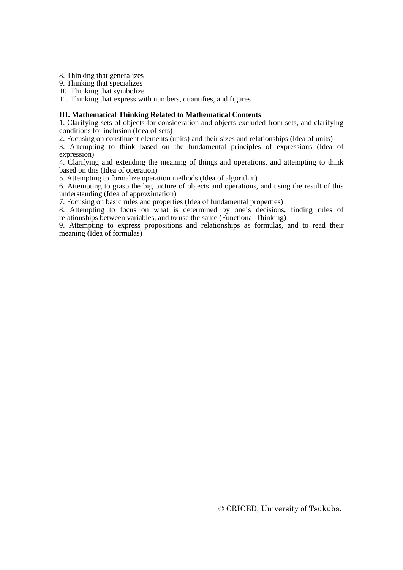8. Thinking that generalizes

9. Thinking that specializes

10. Thinking that symbolize

11. Thinking that express with numbers, quantifies, and figures

#### **III. Mathematical Thinking Related to Mathematical Contents**

1. Clarifying sets of objects for consideration and objects excluded from sets, and clarifying conditions for inclusion (Idea of sets)

2. Focusing on constituent elements (units) and their sizes and relationships (Idea of units)

3. Attempting to think based on the fundamental principles of expressions (Idea of expression)

4. Clarifying and extending the meaning of things and operations, and attempting to think based on this (Idea of operation)

5. Attempting to formalize operation methods (Idea of algorithm)

6. Attempting to grasp the big picture of objects and operations, and using the result of this understanding (Idea of approximation)

7. Focusing on basic rules and properties (Idea of fundamental properties)

8. Attempting to focus on what is determined by one's decisions, finding rules of relationships between variables, and to use the same (Functional Thinking)

9. Attempting to express propositions and relationships as formulas, and to read their meaning (Idea of formulas)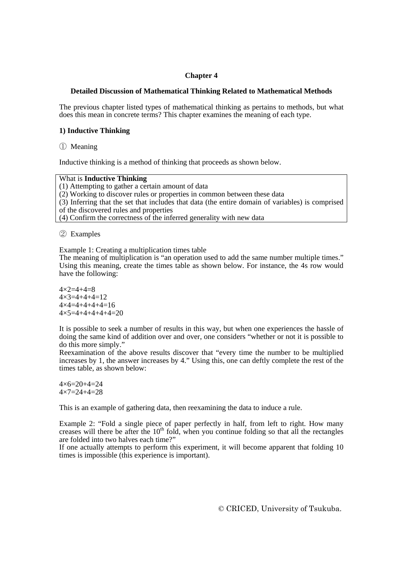## **Chapter 4**

## **Detailed Discussion of Mathematical Thinking Related to Mathematical Methods**

The previous chapter listed types of mathematical thinking as pertains to methods, but what does this mean in concrete terms? This chapter examines the meaning of each type.

## **1) Inductive Thinking**

#### ① Meaning

Inductive thinking is a method of thinking that proceeds as shown below.

## What is **Inductive Thinking**

(1) Attempting to gather a certain amount of data

(2) Working to discover rules or properties in common between these data

(3) Inferring that the set that includes that data (the entire domain of variables) is comprised of the discovered rules and properties

(4) Confirm the correctness of the inferred generality with new data

② Examples

Example 1: Creating a multiplication times table

The meaning of multiplication is "an operation used to add the same number multiple times." Using this meaning, create the times table as shown below. For instance, the 4s row would have the following:

 $4 \times 2 = 4 + 4 = 8$  $4 \times 3 = 4 + 4 + 4 = 12$  $4 \times 4 = 4 + 4 + 4 + 4 = 16$  $4 \times 5 = 4 + 4 + 4 + 4 + 4 = 20$ 

It is possible to seek a number of results in this way, but when one experiences the hassle of doing the same kind of addition over and over, one considers "whether or not it is possible to do this more simply."

Reexamination of the above results discover that "every time the number to be multiplied increases by 1, the answer increases by 4." Using this, one can deftly complete the rest of the times table, as shown below:

#### $4 \times 6 = 20 + 4 = 24$  $4 \times 7 = 24 + 4 = 28$

This is an example of gathering data, then reexamining the data to induce a rule.

Example 2: "Fold a single piece of paper perfectly in half, from left to right. How many creases will there be after the 10<sup>th</sup> fold, when you continue folding so that all the rectangles are folded into two halves each time?"

If one actually attempts to perform this experiment, it will become apparent that folding 10 times is impossible (this experience is important).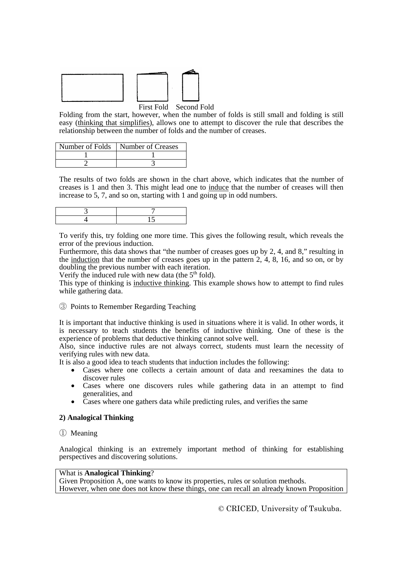#### First Fold Second Fold

Folding from the start, however, when the number of folds is still small and folding is still easy (thinking that simplifies), allows one to attempt to discover the rule that describes the relationship between the number of folds and the number of creases.

| Number of Folds   Number of Creases |
|-------------------------------------|
|                                     |
|                                     |

The results of two folds are shown in the chart above, which indicates that the number of creases is 1 and then 3. This might lead one to induce that the number of creases will then increase to 5, 7, and so on, starting with 1 and going up in odd numbers.

To verify this, try folding one more time. This gives the following result, which reveals the error of the previous induction.

Furthermore, this data shows that "the number of creases goes up by 2, 4, and 8," resulting in the induction that the number of creases goes up in the pattern 2, 4, 8, 16, and so on, or by doubling the previous number with each iteration.

Verify the induced rule with new data (the  $5<sup>th</sup>$  fold).

This type of thinking is inductive thinking. This example shows how to attempt to find rules while gathering data.

③ Points to Remember Regarding Teaching

It is important that inductive thinking is used in situations where it is valid. In other words, it is necessary to teach students the benefits of inductive thinking. One of these is the experience of problems that deductive thinking cannot solve well.

Also, since inductive rules are not always correct, students must learn the necessity of verifying rules with new data.

It is also a good idea to teach students that induction includes the following:

- Cases where one collects a certain amount of data and reexamines the data to discover rules
- Cases where one discovers rules while gathering data in an attempt to find generalities, and
- Cases where one gathers data while predicting rules, and verifies the same

## **2) Analogical Thinking**

## ① Meaning

Analogical thinking is an extremely important method of thinking for establishing perspectives and discovering solutions.

## What is **Analogical Thinking**?

Given Proposition A, one wants to know its properties, rules or solution methods. However, when one does not know these things, one can recall an already known Proposition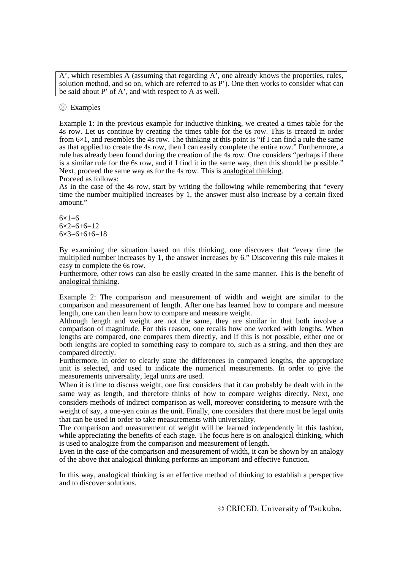A', which resembles A (assuming that regarding A', one already knows the properties, rules, solution method, and so on, which are referred to as P'). One then works to consider what can be said about P' of A', and with respect to A as well.

② Examples

Example 1: In the previous example for inductive thinking, we created a times table for the 4s row. Let us continue by creating the times table for the 6s row. This is created in order from  $6\times1$ , and resembles the 4s row. The thinking at this point is "if I can find a rule the same as that applied to create the 4s row, then I can easily complete the entire row." Furthermore, a rule has already been found during the creation of the 4s row. One considers "perhaps if there is a similar rule for the 6s row, and if I find it in the same way, then this should be possible." Next, proceed the same way as for the 4s row. This is analogical thinking. Proceed as follows:

As in the case of the 4s row, start by writing the following while remembering that "every time the number multiplied increases by 1, the answer must also increase by a certain fixed amount."

 $6 \times 1 = 6$  $6 \times 2 = 6 + 6 = 12$  $6\times3=6+6+6=18$ 

By examining the situation based on this thinking, one discovers that "every time the multiplied number increases by 1, the answer increases by 6." Discovering this rule makes it easy to complete the 6s row.

Furthermore, other rows can also be easily created in the same manner. This is the benefit of analogical thinking.

Example 2: The comparison and measurement of width and weight are similar to the comparison and measurement of length. After one has learned how to compare and measure length, one can then learn how to compare and measure weight.

Although length and weight are not the same, they are similar in that both involve a comparison of magnitude. For this reason, one recalls how one worked with lengths. When lengths are compared, one compares them directly, and if this is not possible, either one or both lengths are copied to something easy to compare to, such as a string, and then they are compared directly.

Furthermore, in order to clearly state the differences in compared lengths, the appropriate unit is selected, and used to indicate the numerical measurements. In order to give the measurements universality, legal units are used.

When it is time to discuss weight, one first considers that it can probably be dealt with in the same way as length, and therefore thinks of how to compare weights directly. Next, one considers methods of indirect comparison as well, moreover considering to measure with the weight of say, a one-yen coin as the unit. Finally, one considers that there must be legal units that can be used in order to take measurements with universality.

The comparison and measurement of weight will be learned independently in this fashion, while appreciating the benefits of each stage. The focus here is on analogical thinking, which is used to analogize from the comparison and measurement of length.

Even in the case of the comparison and measurement of width, it can be shown by an analogy of the above that analogical thinking performs an important and effective function.

In this way, analogical thinking is an effective method of thinking to establish a perspective and to discover solutions.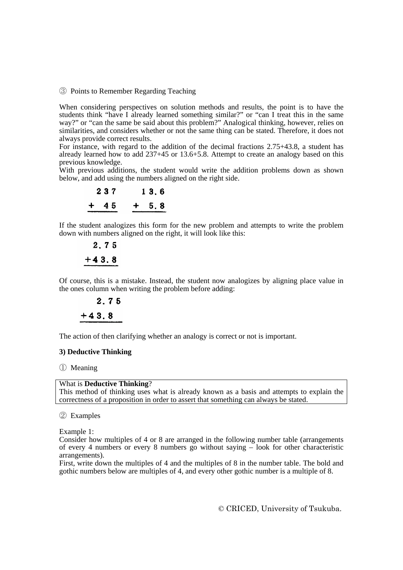#### ③ Points to Remember Regarding Teaching

When considering perspectives on solution methods and results, the point is to have the students think "have I already learned something similar?" or "can I treat this in the same way?" or "can the same be said about this problem?" Analogical thinking, however, relies on similarities, and considers whether or not the same thing can be stated. Therefore, it does not always provide correct results.

For instance, with regard to the addition of the decimal fractions 2.75+43.8, a student has already learned how to add 237+45 or 13.6+5.8. Attempt to create an analogy based on this previous knowledge.

With previous additions, the student would write the addition problems down as shown below, and add using the numbers aligned on the right side.

$$
\begin{array}{cccc}\n & 237 & & 13.6 \\
+ & 45 & & + & 5.8 \\
\end{array}
$$

If the student analogizes this form for the new problem and attempts to write the problem down with numbers aligned on the right, it will look like this:

$$
\begin{array}{c}\n 2.75 \\
 +43.8\n \end{array}
$$

Of course, this is a mistake. Instead, the student now analogizes by aligning place value in the ones column when writing the problem before adding:

## $2.75$  $+43.8$

The action of then clarifying whether an analogy is correct or not is important.

#### **3) Deductive Thinking**

① Meaning

#### What is **Deductive Thinking**?

This method of thinking uses what is already known as a basis and attempts to explain the correctness of a proposition in order to assert that something can always be stated.

② Examples

Example 1:

Consider how multiples of 4 or 8 are arranged in the following number table (arrangements of every 4 numbers or every 8 numbers go without saying – look for other characteristic arrangements).

First, write down the multiples of 4 and the multiples of 8 in the number table. The bold and gothic numbers below are multiples of 4, and every other gothic number is a multiple of 8.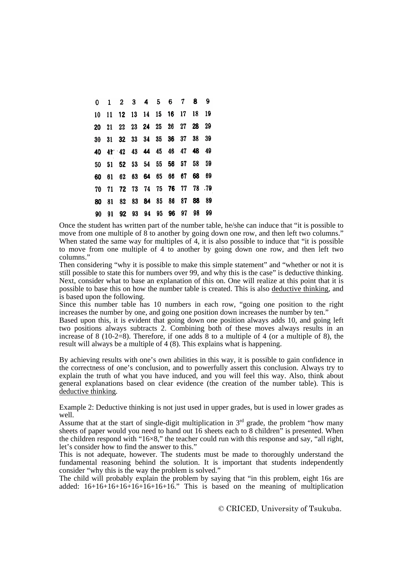| 0  |      | 2 | 3 |  | 4 5 6                         | $\mathbf{7}$ | 8.  | 9  |
|----|------|---|---|--|-------------------------------|--------------|-----|----|
| 10 | 11   |   |   |  | 12 13 14 15 16 17 18 19       |              |     |    |
| 20 |      |   |   |  | 21 22 23 24 25 26 27 28       |              |     | 29 |
|    |      |   |   |  | 30 31 32 33 34 35 36 37 38 39 |              |     |    |
| 40 |      |   |   |  | 41 42 43 44 45 46 47 48 49    |              |     |    |
| 50 | - 51 |   |   |  | 52 53 54 55 56 57 58          |              |     | 59 |
| 60 | - 61 |   |   |  | 62 63 64 65 66 67 68          |              |     | 69 |
| 70 | - 71 |   |   |  | 72 73 74 75 76 77 78 79       |              |     |    |
| 80 | 81   |   |   |  | 82 83 84 85 86 87 88          |              |     | 89 |
| 90 | 91   |   |   |  | 92 93 94 95 96 97             |              | -98 | 99 |

Once the student has written part of the number table, he/she can induce that "it is possible to move from one multiple of 8 to another by going down one row, and then left two columns." When stated the same way for multiples of 4, it is also possible to induce that "it is possible" to move from one multiple of 4 to another by going down one row, and then left two columns."

Then considering "why it is possible to make this simple statement" and "whether or not it is still possible to state this for numbers over 99, and why this is the case" is deductive thinking. Next, consider what to base an explanation of this on. One will realize at this point that it is possible to base this on how the number table is created. This is also deductive thinking, and is based upon the following.

Since this number table has 10 numbers in each row, "going one position to the right increases the number by one, and going one position down increases the number by ten."

Based upon this, it is evident that going down one position always adds 10, and going left two positions always subtracts 2. Combining both of these moves always results in an increase of 8 (10-2=8). Therefore, if one adds 8 to a multiple of 4 (or a multiple of 8), the result will always be a multiple of 4 (8). This explains what is happening.

By achieving results with one's own abilities in this way, it is possible to gain confidence in the correctness of one's conclusion, and to powerfully assert this conclusion. Always try to explain the truth of what you have induced, and you will feel this way. Also, think about general explanations based on clear evidence (the creation of the number table). This is deductive thinking.

Example 2: Deductive thinking is not just used in upper grades, but is used in lower grades as well.

Assume that at the start of single-digit multiplication in  $3<sup>rd</sup>$  grade, the problem "how many sheets of paper would you need to hand out  $16$  sheets each to 8 children<sup>3</sup> is presented. When the children respond with " $16\times8$ ," the teacher could run with this response and say, "all right, let's consider how to find the answer to this."

This is not adequate, however. The students must be made to thoroughly understand the fundamental reasoning behind the solution. It is important that students independently consider "why this is the way the problem is solved."

The child will probably explain the problem by saying that "in this problem, eight 16s are added:  $16+16+16+16+16+16+16$ . This is based on the meaning of multiplication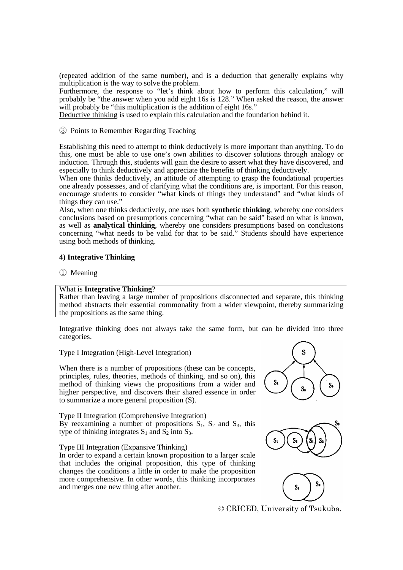(repeated addition of the same number), and is a deduction that generally explains why multiplication is the way to solve the problem.

Furthermore, the response to "let's think about how to perform this calculation," will probably be "the answer when you add eight 16s is 128." When asked the reason, the answer will probably be "this multiplication is the addition of eight 16s."

Deductive thinking is used to explain this calculation and the foundation behind it.

③ Points to Remember Regarding Teaching

Establishing this need to attempt to think deductively is more important than anything. To do this, one must be able to use one's own abilities to discover solutions through analogy or induction. Through this, students will gain the desire to assert what they have discovered, and especially to think deductively and appreciate the benefits of thinking deductively.

When one thinks deductively, an attitude of attempting to grasp the foundational properties one already possesses, and of clarifying what the conditions are, is important. For this reason, encourage students to consider "what kinds of things they understand" and "what kinds of things they can use."

Also, when one thinks deductively, one uses both **synthetic thinking**, whereby one considers conclusions based on presumptions concerning "what can be said" based on what is known, as well as **analytical thinking**, whereby one considers presumptions based on conclusions concerning "what needs to be valid for that to be said." Students should have experience using both methods of thinking.

## **4) Integrative Thinking**

## ① Meaning

#### What is **Integrative Thinking**?

Rather than leaving a large number of propositions disconnected and separate, this thinking method abstracts their essential commonality from a wider viewpoint, thereby summarizing the propositions as the same thing.

Integrative thinking does not always take the same form, but can be divided into three categories.

Type I Integration (High-Level Integration)

When there is a number of propositions (these can be concepts, principles, rules, theories, methods of thinking, and so on), this method of thinking views the propositions from a wider and higher perspective, and discovers their shared essence in order to summarize a more general proposition (S).

Type II Integration (Comprehensive Integration) By reexamining a number of propositions  $S_1$ ,  $S_2$  and  $S_3$ , this type of thinking integrates  $S_1$  and  $S_2$  into  $S_3$ .

#### Type III Integration (Expansive Thinking)

In order to expand a certain known proposition to a larger scale that includes the original proposition, this type of thinking changes the conditions a little in order to make the proposition more comprehensive. In other words, this thinking incorporates and merges one new thing after another.





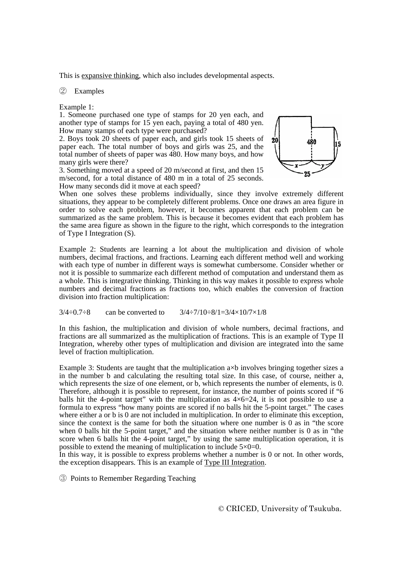This is expansive thinking, which also includes developmental aspects.

② Examples

Example 1:

1. Someone purchased one type of stamps for 20 yen each, and another type of stamps for 15 yen each, paying a total of 480 yen. How many stamps of each type were purchased?

2. Boys took 20 sheets of paper each, and girls took 15 sheets of paper each. The total number of boys and girls was 25, and the total number of sheets of paper was 480. How many boys, and how many girls were there?

3. Something moved at a speed of 20 m/second at first, and then 15 m/second, for a total distance of 480 m in a total of 25 seconds. How many seconds did it move at each speed?



When one solves these problems individually, since they involve extremely different situations, they appear to be completely different problems. Once one draws an area figure in order to solve each problem, however, it becomes apparent that each problem can be summarized as the same problem. This is because it becomes evident that each problem has the same area figure as shown in the figure to the right, which corresponds to the integration of Type I Integration (S).

Example 2: Students are learning a lot about the multiplication and division of whole numbers, decimal fractions, and fractions. Learning each different method well and working with each type of number in different ways is somewhat cumbersome. Consider whether or not it is possible to summarize each different method of computation and understand them as a whole. This is integrative thinking. Thinking in this way makes it possible to express whole numbers and decimal fractions as fractions too, which enables the conversion of fraction division into fraction multiplication:

 $3/4 \div 0.7 \div 8$  can be converted to  $3/4 \div 7/10 \div 8/1 = 3/4 \times 10/7 \times 1/8$ 

In this fashion, the multiplication and division of whole numbers, decimal fractions, and fractions are all summarized as the multiplication of fractions. This is an example of Type II Integration, whereby other types of multiplication and division are integrated into the same level of fraction multiplication.

Example 3: Students are taught that the multiplication  $a \times b$  involves bringing together sizes a in the number b and calculating the resulting total size. In this case, of course, neither a, which represents the size of one element, or b, which represents the number of elements, is 0. Therefore, although it is possible to represent, for instance, the number of points scored if "6 balls hit the 4-point target" with the multiplication as  $4\times 6=24$ , it is not possible to use a formula to express "how many points are scored if no balls hit the 5-point target." The cases where either a or b is 0 are not included in multiplication. In order to eliminate this exception, since the context is the same for both the situation where one number is 0 as in "the score when 0 balls hit the 5-point target," and the situation where neither number is 0 as in "the score when 6 balls hit the 4-point target," by using the same multiplication operation, it is possible to extend the meaning of multiplication to include 5×0=0.

In this way, it is possible to express problems whether a number is 0 or not. In other words, the exception disappears. This is an example of Type III Integration.

③ Points to Remember Regarding Teaching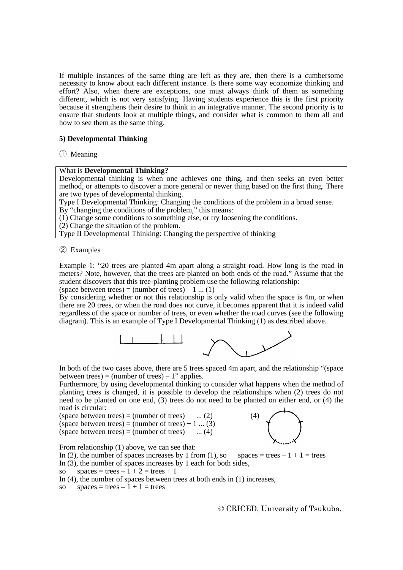If multiple instances of the same thing are left as they are, then there is a cumbersome necessity to know about each different instance. Is there some way economize thinking and effort? Also, when there are exceptions, one must always think of them as something different, which is not very satisfying. Having students experience this is the first priority because it strengthens their desire to think in an integrative manner. The second priority is to ensure that students look at multiple things, and consider what is common to them all and how to see them as the same thing.

## **5) Developmental Thinking**

① Meaning

## What is **Developmental Thinking?**

Developmental thinking is when one achieves one thing, and then seeks an even better method, or attempts to discover a more general or newer thing based on the first thing. There are two types of developmental thinking.

Type I Developmental Thinking: Changing the conditions of the problem in a broad sense.

By "changing the conditions of the problem," this means:

(1) Change some conditions to something else, or try loosening the conditions.

(2) Change the situation of the problem.

Type II Developmental Thinking: Changing the perspective of thinking

## ② Examples

Example 1: "20 trees are planted 4m apart along a straight road. How long is the road in meters? Note, however, that the trees are planted on both ends of the road." Assume that the student discovers that this tree-planting problem use the following relationship:

(space between trees) = (number of trees) – 1 ... (1)

By considering whether or not this relationship is only valid when the space is 4m, or when there are 20 trees, or when the road does not curve, it becomes apparent that it is indeed valid regardless of the space or number of trees, or even whether the road curves (see the following diagram). This is an example of Type I Developmental Thinking (1) as described above.



In both of the two cases above, there are 5 trees spaced 4m apart, and the relationship "(space between trees) = (number of trees)  $-1$ " applies.

Furthermore, by using developmental thinking to consider what happens when the method of planting trees is changed, it is possible to develop the relationships when (2) trees do not need to be planted on one end, (3) trees do not need to be planted on either end, or (4) the road is circular:

(space between trees) = (number of trees)  $\ldots$  (2) (space between trees) = (number of trees) + 1 ... (3)

(space between trees) = (number of trees)  $\ldots$  (4)



From relationship (1) above, we can see that:

In (2), the number of spaces increases by 1 from (1), so spaces = trees  $-1 + 1 =$  trees In (3), the number of spaces increases by 1 each for both sides.

so  $space = trees - 1 + 2 = trees + 1$ 

In  $(4)$ , the number of spaces between trees at both ends in  $(1)$  increases,

so spaces = trees  $-1 + 1$  = trees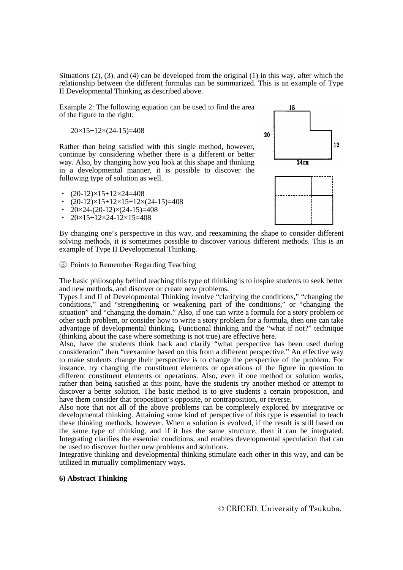Situations (2), (3), and (4) can be developed from the original (1) in this way, after which the relationship between the different formulas can be summarized. This is an example of Type II Developmental Thinking as described above.

Example 2: The following equation can be used to find the area of the figure to the right:

 $20\times15+12\times(24-15)=408$ 

Rather than being satisfied with this single method, however, continue by considering whether there is a different or better way. Also, by changing how you look at this shape and thinking in a developmental manner, it is possible to discover the following type of solution as well.

- $\cdot$  (20-12) $\times$ 15+12 $\times$ 24=408
- $(20-12)\times15+12\times15+12\times(24-15)=408$
- $20\times 24-(20-12)\times (24-15)=408$
- $20 \times 15 + 12 \times 24 12 \times 15 = 408$

By changing one's perspective in this way, and reexamining the shape to consider different solving methods, it is sometimes possible to discover various different methods. This is an example of Type II Developmental Thinking.

#### ③ Points to Remember Regarding Teaching

The basic philosophy behind teaching this type of thinking is to inspire students to seek better and new methods, and discover or create new problems.

Types I and II of Developmental Thinking involve "clarifying the conditions," "changing the conditions," and "strengthening or weakening part of the conditions," or "changing the situation" and "changing the domain." Also, if one can write a formula for a story problem or other such problem, or consider how to write a story problem for a formula, then one can take advantage of developmental thinking. Functional thinking and the "what if not?" technique (thinking about the case where something is not true) are effective here.

Also, have the students think back and clarify "what perspective has been used during consideration" then "reexamine based on this from a different perspective." An effective way to make students change their perspective is to change the perspective of the problem. For instance, try changing the constituent elements or operations of the figure in question to different constituent elements or operations. Also, even if one method or solution works, rather than being satisfied at this point, have the students try another method or attempt to discover a better solution. The basic method is to give students a certain proposition, and have them consider that proposition's opposite, or contraposition, or reverse.

Also note that not all of the above problems can be completely explored by integrative or developmental thinking. Attaining some kind of perspective of this type is essential to teach these thinking methods, however. When a solution is evolved, if the result is still based on the same type of thinking, and if it has the same structure, then it can be integrated. Integrating clarifies the essential conditions, and enables developmental speculation that can be used to discover further new problems and solutions.

Integrative thinking and developmental thinking stimulate each other in this way, and can be utilized in mutually complimentary ways.

#### **6) Abstract Thinking**

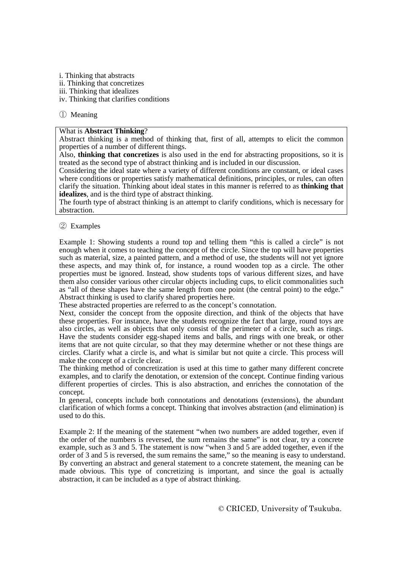i. Thinking that abstracts

ii. Thinking that concretizes

iii. Thinking that idealizes

iv. Thinking that clarifies conditions

## ① Meaning

## What is **Abstract Thinking**?

Abstract thinking is a method of thinking that, first of all, attempts to elicit the common properties of a number of different things.

Also, **thinking that concretizes** is also used in the end for abstracting propositions, so it is treated as the second type of abstract thinking and is included in our discussion.

Considering the ideal state where a variety of different conditions are constant, or ideal cases where conditions or properties satisfy mathematical definitions, principles, or rules, can often clarify the situation. Thinking about ideal states in this manner is referred to as **thinking that idealizes**, and is the third type of abstract thinking.

The fourth type of abstract thinking is an attempt to clarify conditions, which is necessary for abstraction.

## ② Examples

Example 1: Showing students a round top and telling them "this is called a circle" is not enough when it comes to teaching the concept of the circle. Since the top will have properties such as material, size, a painted pattern, and a method of use, the students will not yet ignore these aspects, and may think of, for instance, a round wooden top as a circle. The other properties must be ignored. Instead, show students tops of various different sizes, and have them also consider various other circular objects including cups, to elicit commonalities such as "all of these shapes have the same length from one point (the central point) to the edge." Abstract thinking is used to clarify shared properties here.

These abstracted properties are referred to as the concept's connotation.

Next, consider the concept from the opposite direction, and think of the objects that have these properties. For instance, have the students recognize the fact that large, round toys are also circles, as well as objects that only consist of the perimeter of a circle, such as rings. Have the students consider egg-shaped items and balls, and rings with one break, or other items that are not quite circular, so that they may determine whether or not these things are circles. Clarify what a circle is, and what is similar but not quite a circle. This process will make the concept of a circle clear.

The thinking method of concretization is used at this time to gather many different concrete examples, and to clarify the denotation, or extension of the concept. Continue finding various different properties of circles. This is also abstraction, and enriches the connotation of the concept.

In general, concepts include both connotations and denotations (extensions), the abundant clarification of which forms a concept. Thinking that involves abstraction (and elimination) is used to do this.

Example 2: If the meaning of the statement "when two numbers are added together, even if the order of the numbers is reversed, the sum remains the same" is not clear, try a concrete example, such as 3 and 5. The statement is now "when 3 and 5 are added together, even if the order of 3 and 5 is reversed, the sum remains the same," so the meaning is easy to understand. By converting an abstract and general statement to a concrete statement, the meaning can be made obvious. This type of concretizing is important, and since the goal is actually abstraction, it can be included as a type of abstract thinking.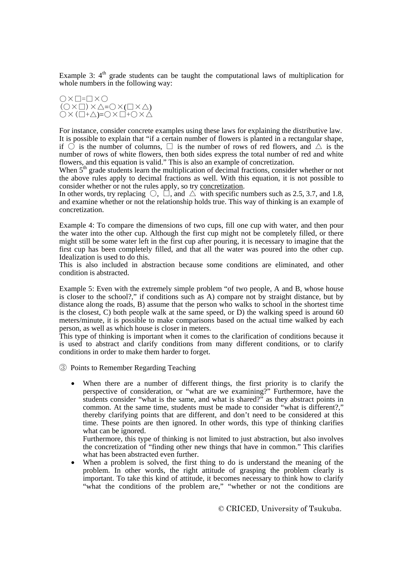Example 3:  $4<sup>th</sup>$  grade students can be taught the computational laws of multiplication for whole numbers in the following way:



For instance, consider concrete examples using these laws for explaining the distributive law. It is possible to explain that "if a certain number of flowers is planted in a rectangular shape, if  $\circlearrowright$  is the number of columns,  $\Box$  is the number of rows of red flowers, and  $\triangle$  is the number of rows of white flowers, then both sides express the total number of red and white flowers, and this equation is valid." This is also an example of concretization.

When 5<sup>th</sup> grade students learn the multiplication of decimal fractions, consider whether or not the above rules apply to decimal fractions as well. With this equation, it is not possible to consider whether or not the rules apply, so try concretization.

In other words, try replacing  $\bigcirc$ ,  $\Box$ , and  $\triangle$  with specific numbers such as 2.5, 3.7, and 1.8, and examine whether or not the relationship holds true. This way of thinking is an example of concretization.

Example 4: To compare the dimensions of two cups, fill one cup with water, and then pour the water into the other cup. Although the first cup might not be completely filled, or there might still be some water left in the first cup after pouring, it is necessary to imagine that the first cup has been completely filled, and that all the water was poured into the other cup. Idealization is used to do this.

This is also included in abstraction because some conditions are eliminated, and other condition is abstracted.

Example 5: Even with the extremely simple problem "of two people, A and B, whose house is closer to the school?," if conditions such as A) compare not by straight distance, but by distance along the roads, B) assume that the person who walks to school in the shortest time is the closest, C) both people walk at the same speed, or D) the walking speed is around 60 meters/minute, it is possible to make comparisons based on the actual time walked by each person, as well as which house is closer in meters.

This type of thinking is important when it comes to the clarification of conditions because it is used to abstract and clarify conditions from many different conditions, or to clarify conditions in order to make them harder to forget.

③ Points to Remember Regarding Teaching

• When there are a number of different things, the first priority is to clarify the perspective of consideration, or "what are we examining?" Furthermore, have the students consider "what is the same, and what is shared?" as they abstract points in common. At the same time, students must be made to consider "what is different?," thereby clarifying points that are different, and don't need to be considered at this time. These points are then ignored. In other words, this type of thinking clarifies what can be ignored.

Furthermore, this type of thinking is not limited to just abstraction, but also involves the concretization of "finding other new things that have in common." This clarifies what has been abstracted even further.

When a problem is solved, the first thing to do is understand the meaning of the problem. In other words, the right attitude of grasping the problem clearly is important. To take this kind of attitude, it becomes necessary to think how to clarify "what the conditions of the problem are," "whether or not the conditions are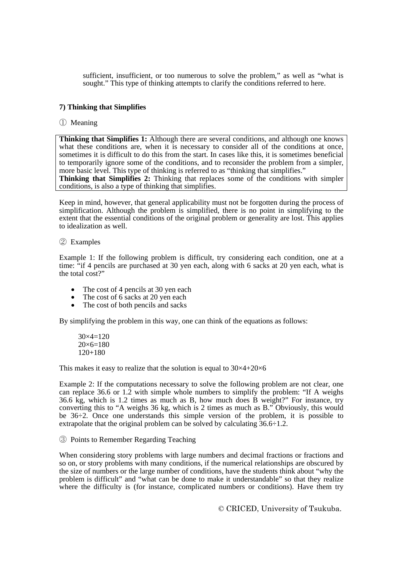sufficient, insufficient, or too numerous to solve the problem," as well as "what is sought." This type of thinking attempts to clarify the conditions referred to here.

## **7) Thinking that Simplifies**

① Meaning

**Thinking that Simplifies 1:** Although there are several conditions, and although one knows what these conditions are, when it is necessary to consider all of the conditions at once, sometimes it is difficult to do this from the start. In cases like this, it is sometimes beneficial to temporarily ignore some of the conditions, and to reconsider the problem from a simpler, more basic level. This type of thinking is referred to as "thinking that simplifies." **Thinking that Simplifies 2:** Thinking that replaces some of the conditions with simpler

conditions, is also a type of thinking that simplifies.

Keep in mind, however, that general applicability must not be forgotten during the process of simplification. Although the problem is simplified, there is no point in simplifying to the extent that the essential conditions of the original problem or generality are lost. This applies to idealization as well.

② Examples

Example 1: If the following problem is difficult, try considering each condition, one at a time: "if 4 pencils are purchased at 30 yen each, along with 6 sacks at 20 yen each, what is the total cost?"

- The cost of 4 pencils at 30 yen each
- The cost of 6 sacks at 20 yen each
- The cost of both pencils and sacks

By simplifying the problem in this way, one can think of the equations as follows:

 $30\times4=120$  $20\times 6=180$ 120+180

This makes it easy to realize that the solution is equal to  $30\times4+20\times6$ 

Example 2: If the computations necessary to solve the following problem are not clear, one can replace 36.6 or 1.2 with simple whole numbers to simplify the problem: "If A weighs 36.6 kg, which is 1.2 times as much as B, how much does B weight?" For instance, try converting this to "A weighs 36 kg, which is 2 times as much as B." Obviously, this would be  $36\div2$ . Once one understands this simple version of the problem, it is possible to extrapolate that the original problem can be solved by calculating 36.6÷1.2.

③ Points to Remember Regarding Teaching

When considering story problems with large numbers and decimal fractions or fractions and so on, or story problems with many conditions, if the numerical relationships are obscured by the size of numbers or the large number of conditions, have the students think about "why the problem is difficult" and "what can be done to make it understandable" so that they realize where the difficulty is (for instance, complicated numbers or conditions). Have them try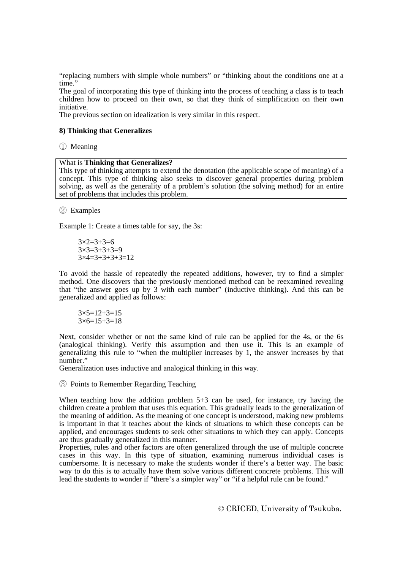"replacing numbers with simple whole numbers" or "thinking about the conditions one at a time."

The goal of incorporating this type of thinking into the process of teaching a class is to teach children how to proceed on their own, so that they think of simplification on their own initiative.

The previous section on idealization is very similar in this respect.

## **8) Thinking that Generalizes**

① Meaning

#### What is **Thinking that Generalizes?**

This type of thinking attempts to extend the denotation (the applicable scope of meaning) of a concept. This type of thinking also seeks to discover general properties during problem solving, as well as the generality of a problem's solution (the solving method) for an entire set of problems that includes this problem.

② Examples

Example 1: Create a times table for say, the 3s:

 $3 \times 2 = 3 + 3 = 6$  $3\times3=3+3+3=9$  $3\times4=3+3+3+3=12$ 

To avoid the hassle of repeatedly the repeated additions, however, try to find a simpler method. One discovers that the previously mentioned method can be reexamined revealing that "the answer goes up by 3 with each number" (inductive thinking). And this can be generalized and applied as follows:

$$
\begin{array}{c}3 \times 5 = 12 + 3 = 15\\3 \times 6 = 15 + 3 = 18\end{array}
$$

Next, consider whether or not the same kind of rule can be applied for the 4s, or the 6s (analogical thinking). Verify this assumption and then use it. This is an example of generalizing this rule to "when the multiplier increases by 1, the answer increases by that number."

Generalization uses inductive and analogical thinking in this way.

③ Points to Remember Regarding Teaching

When teaching how the addition problem  $5+3$  can be used, for instance, try having the children create a problem that uses this equation. This gradually leads to the generalization of the meaning of addition. As the meaning of one concept is understood, making new problems is important in that it teaches about the kinds of situations to which these concepts can be applied, and encourages students to seek other situations to which they can apply. Concepts are thus gradually generalized in this manner.

Properties, rules and other factors are often generalized through the use of multiple concrete cases in this way. In this type of situation, examining numerous individual cases is cumbersome. It is necessary to make the students wonder if there's a better way. The basic way to do this is to actually have them solve various different concrete problems. This will lead the students to wonder if "there's a simpler way" or "if a helpful rule can be found."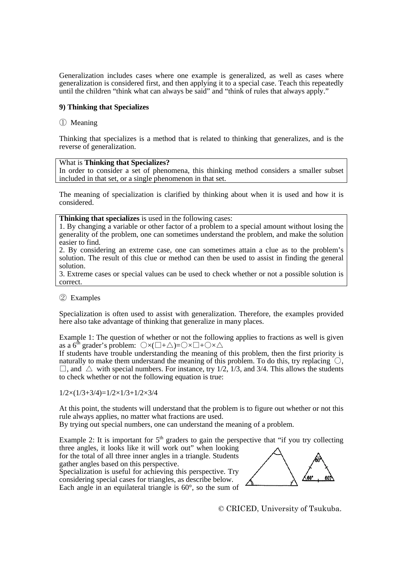Generalization includes cases where one example is generalized, as well as cases where generalization is considered first, and then applying it to a special case. Teach this repeatedly until the children "think what can always be said" and "think of rules that always apply."

## **9) Thinking that Specializes**

① Meaning

Thinking that specializes is a method that is related to thinking that generalizes, and is the reverse of generalization.

#### What is **Thinking that Specializes?**

In order to consider a set of phenomena, this thinking method considers a smaller subset included in that set, or a single phenomenon in that set.

The meaning of specialization is clarified by thinking about when it is used and how it is considered.

#### **Thinking that specializes** is used in the following cases:

1. By changing a variable or other factor of a problem to a special amount without losing the generality of the problem, one can sometimes understand the problem, and make the solution easier to find.

2. By considering an extreme case, one can sometimes attain a clue as to the problem's solution. The result of this clue or method can then be used to assist in finding the general solution.

3. Extreme cases or special values can be used to check whether or not a possible solution is correct.

② Examples

Specialization is often used to assist with generalization. Therefore, the examples provided here also take advantage of thinking that generalize in many places.

Example 1: The question of whether or not the following applies to fractions as well is given as a  $6^{\text{th}}$  grader's problem:  $\bigcirc \times (\square + \triangle) = \bigcirc \times \square + \bigcirc \times \triangle$ 

If students have trouble understanding the meaning of this problem, then the first priority is naturally to make them understand the meaning of this problem. To do this, try replacing  $\circ$ .  $\Box$ , and  $\triangle$  with special numbers. For instance, try 1/2, 1/3, and 3/4. This allows the students to check whether or not the following equation is true:

## $1/2\times(1/3+3/4)=1/2\times1/3+1/2\times3/4$

At this point, the students will understand that the problem is to figure out whether or not this rule always applies, no matter what fractions are used.

By trying out special numbers, one can understand the meaning of a problem.

Example 2: It is important for  $5<sup>th</sup>$  graders to gain the perspective that "if you try collecting three angles, it looks like it will work out" when looking

for the total of all three inner angles in a triangle. Students gather angles based on this perspective. Specialization is useful for achieving this perspective. Try

considering special cases for triangles, as describe below. Each angle in an equilateral triangle is  $60^\circ$ , so the sum of

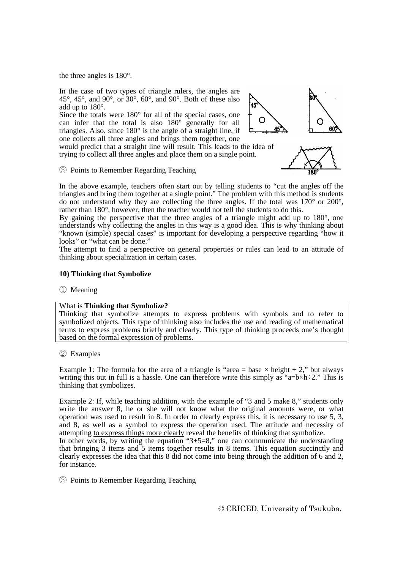the three angles is 180°.

In the case of two types of triangle rulers, the angles are 45°, 45°, and 90°, or 30°, 60°, and 90°. Both of these also add up to 180°.

Since the totals were 180° for all of the special cases, one can infer that the total is also 180° generally for all triangles. Also, since 180° is the angle of a straight line, if one collects all three angles and brings them together, one

would predict that a straight line will result. This leads to the idea of trying to collect all three angles and place them on a single point.





③ Points to Remember Regarding Teaching

In the above example, teachers often start out by telling students to "cut the angles off the triangles and bring them together at a single point." The problem with this method is students do not understand why they are collecting the three angles. If the total was 170° or 200°, rather than 180°, however, then the teacher would not tell the students to do this.

By gaining the perspective that the three angles of a triangle might add up to 180°, one understands why collecting the angles in this way is a good idea. This is why thinking about "known (simple) special cases" is important for developing a perspective regarding "how it looks" or "what can be done."

The attempt to find a perspective on general properties or rules can lead to an attitude of thinking about specialization in certain cases.

## **10) Thinking that Symbolize**

① Meaning

## What is **Thinking that Symbolize?**

Thinking that symbolize attempts to express problems with symbols and to refer to symbolized objects. This type of thinking also includes the use and reading of mathematical terms to express problems briefly and clearly. This type of thinking proceeds one's thought based on the formal expression of problems.

② Examples

Example 1: The formula for the area of a triangle is "area = base  $\times$  height  $\div$  2," but always writing this out in full is a hassle. One can therefore write this simply as " $a=b\times h+2$ ." This is thinking that symbolizes.

Example 2: If, while teaching addition, with the example of "3 and 5 make 8," students only write the answer 8, he or she will not know what the original amounts were, or what operation was used to result in 8. In order to clearly express this, it is necessary to use 5, 3, and 8, as well as a symbol to express the operation used. The attitude and necessity of attempting to express things more clearly reveal the benefits of thinking that symbolize. In other words, by writing the equation "3+5=8," one can communicate the understanding

that bringing 3 items and 5 items together results in 8 items. This equation succinctly and clearly expresses the idea that this 8 did not come into being through the addition of 6 and 2, for instance.

③ Points to Remember Regarding Teaching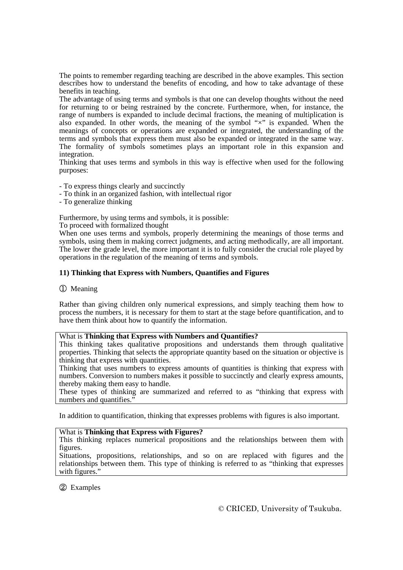The points to remember regarding teaching are described in the above examples. This section describes how to understand the benefits of encoding, and how to take advantage of these benefits in teaching.

The advantage of using terms and symbols is that one can develop thoughts without the need for returning to or being restrained by the concrete. Furthermore, when, for instance, the range of numbers is expanded to include decimal fractions, the meaning of multiplication is also expanded. In other words, the meaning of the symbol " $\times$ " is expanded. When the meanings of concepts or operations are expanded or integrated, the understanding of the terms and symbols that express them must also be expanded or integrated in the same way. The formality of symbols sometimes plays an important role in this expansion and integration.

Thinking that uses terms and symbols in this way is effective when used for the following purposes:

- To express things clearly and succinctly

- To think in an organized fashion, with intellectual rigor
- To generalize thinking

Furthermore, by using terms and symbols, it is possible:

To proceed with formalized thought

When one uses terms and symbols, properly determining the meanings of those terms and symbols, using them in making correct judgments, and acting methodically, are all important. The lower the grade level, the more important it is to fully consider the crucial role played by operations in the regulation of the meaning of terms and symbols.

## **11) Thinking that Express with Numbers, Quantifies and Figures**

① Meaning

Rather than giving children only numerical expressions, and simply teaching them how to process the numbers, it is necessary for them to start at the stage before quantification, and to have them think about how to quantify the information.

#### What is **Thinking that Express with Numbers and Quantifies?**

This thinking takes qualitative propositions and understands them through qualitative properties. Thinking that selects the appropriate quantity based on the situation or objective is thinking that express with quantities.

Thinking that uses numbers to express amounts of quantities is thinking that express with numbers. Conversion to numbers makes it possible to succinctly and clearly express amounts, thereby making them easy to handle.

These types of thinking are summarized and referred to as "thinking that express with numbers and quantifies."

In addition to quantification, thinking that expresses problems with figures is also important.

## What is **Thinking that Express with Figures?**

This thinking replaces numerical propositions and the relationships between them with figures.

Situations, propositions, relationships, and so on are replaced with figures and the relationships between them. This type of thinking is referred to as "thinking that expresses with figures."

② Examples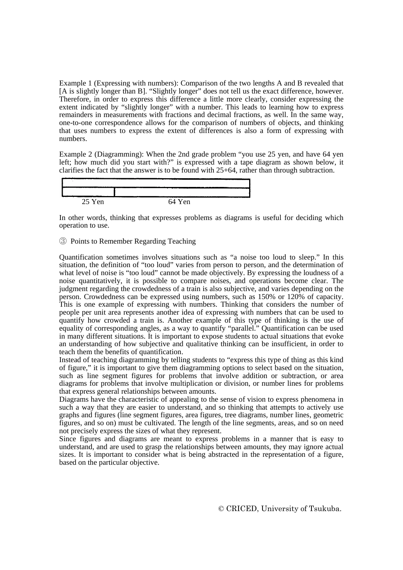Example 1 (Expressing with numbers): Comparison of the two lengths A and B revealed that [A is slightly longer than B]. "Slightly longer" does not tell us the exact difference, however. Therefore, in order to express this difference a little more clearly, consider expressing the extent indicated by "slightly longer" with a number. This leads to learning how to express remainders in measurements with fractions and decimal fractions, as well. In the same way, one-to-one correspondence allows for the comparison of numbers of objects, and thinking that uses numbers to express the extent of differences is also a form of expressing with numbers.

Example 2 (Diagramming): When the 2nd grade problem "you use 25 yen, and have 64 yen left; how much did you start with?" is expressed with a tape diagram as shown below, it clarifies the fact that the answer is to be found with 25+64, rather than through subtraction.



In other words, thinking that expresses problems as diagrams is useful for deciding which operation to use.

#### ③ Points to Remember Regarding Teaching

Quantification sometimes involves situations such as "a noise too loud to sleep." In this situation, the definition of "too loud" varies from person to person, and the determination of what level of noise is "too loud" cannot be made objectively. By expressing the loudness of a noise quantitatively, it is possible to compare noises, and operations become clear. The judgment regarding the crowdedness of a train is also subjective, and varies depending on the person. Crowdedness can be expressed using numbers, such as 150% or 120% of capacity. This is one example of expressing with numbers. Thinking that considers the number of people per unit area represents another idea of expressing with numbers that can be used to quantify how crowded a train is. Another example of this type of thinking is the use of equality of corresponding angles, as a way to quantify "parallel." Quantification can be used in many different situations. It is important to expose students to actual situations that evoke an understanding of how subjective and qualitative thinking can be insufficient, in order to teach them the benefits of quantification.

Instead of teaching diagramming by telling students to "express this type of thing as this kind of figure," it is important to give them diagramming options to select based on the situation, such as line segment figures for problems that involve addition or subtraction, or area diagrams for problems that involve multiplication or division, or number lines for problems that express general relationships between amounts.

Diagrams have the characteristic of appealing to the sense of vision to express phenomena in such a way that they are easier to understand, and so thinking that attempts to actively use graphs and figures (line segment figures, area figures, tree diagrams, number lines, geometric figures, and so on) must be cultivated. The length of the line segments, areas, and so on need not precisely express the sizes of what they represent.

Since figures and diagrams are meant to express problems in a manner that is easy to understand, and are used to grasp the relationships between amounts, they may ignore actual sizes. It is important to consider what is being abstracted in the representation of a figure, based on the particular objective.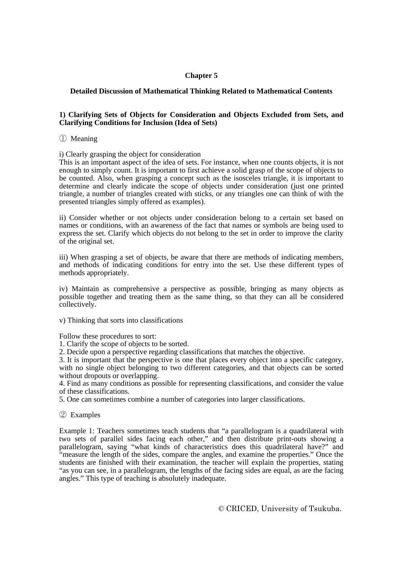## **Chapter 5**

## **Detailed Discussion of Mathematical Thinking Related to Mathematical Contents**

## **1) Clarifying Sets of Objects for Consideration and Objects Excluded from Sets, and Clarifying Conditions for Inclusion (Idea of Sets)**

① Meaning

i) Clearly grasping the object for consideration

This is an important aspect of the idea of sets. For instance, when one counts objects, it is not enough to simply count. It is important to first achieve a solid grasp of the scope of objects to be counted. Also, when grasping a concept such as the isosceles triangle, it is important to determine and clearly indicate the scope of objects under consideration (just one printed triangle, a number of triangles created with sticks, or any triangles one can think of with the presented triangles simply offered as examples).

ii) Consider whether or not objects under consideration belong to a certain set based on names or conditions, with an awareness of the fact that names or symbols are being used to express the set. Clarify which objects do not belong to the set in order to improve the clarity of the original set.

iii) When grasping a set of objects, be aware that there are methods of indicating members, and methods of indicating conditions for entry into the set. Use these different types of methods appropriately.

iv) Maintain as comprehensive a perspective as possible, bringing as many objects as possible together and treating them as the same thing, so that they can all be considered collectively.

v) Thinking that sorts into classifications

Follow these procedures to sort:

1. Clarify the scope of objects to be sorted.

2. Decide upon a perspective regarding classifications that matches the objective.

3. It is important that the perspective is one that places every object into a specific category, with no single object belonging to two different categories, and that objects can be sorted without dropouts or overlapping.

4. Find as many conditions as possible for representing classifications, and consider the value of these classifications.

5. One can sometimes combine a number of categories into larger classifications.

#### ② Examples

Example 1: Teachers sometimes teach students that "a parallelogram is a quadrilateral with two sets of parallel sides facing each other," and then distribute print-outs showing a parallelogram, saying "what kinds of characteristics does this quadrilateral have?" and "measure the length of the sides, compare the angles, and examine the properties." Once the students are finished with their examination, the teacher will explain the properties, stating "as you can see, in a parallelogram, the lengths of the facing sides are equal, as are the facing angles." This type of teaching is absolutely inadequate.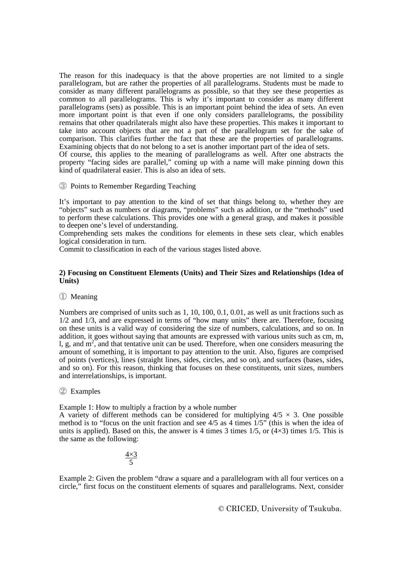The reason for this inadequacy is that the above properties are not limited to a single parallelogram, but are rather the properties of all parallelograms. Students must be made to consider as many different parallelograms as possible, so that they see these properties as common to all parallelograms. This is why it's important to consider as many different parallelograms (sets) as possible. This is an important point behind the idea of sets. An even more important point is that even if one only considers parallelograms, the possibility remains that other quadrilaterals might also have these properties. This makes it important to take into account objects that are not a part of the parallelogram set for the sake of comparison. This clarifies further the fact that these are the properties of parallelograms. Examining objects that do not belong to a set is another important part of the idea of sets. Of course, this applies to the meaning of parallelograms as well. After one abstracts the property "facing sides are parallel," coming up with a name will make pinning down this kind of quadrilateral easier. This is also an idea of sets.

#### ③ Points to Remember Regarding Teaching

It's important to pay attention to the kind of set that things belong to, whether they are "objects" such as numbers or diagrams, "problems" such as addition, or the "methods" used to perform these calculations. This provides one with a general grasp, and makes it possible to deepen one's level of understanding.

Comprehending sets makes the conditions for elements in these sets clear, which enables logical consideration in turn.

Commit to classification in each of the various stages listed above.

#### **2) Focusing on Constituent Elements (Units) and Their Sizes and Relationships (Idea of Units)**

① Meaning

Numbers are comprised of units such as 1, 10, 100, 0.1, 0.01, as well as unit fractions such as 1/2 and 1/3, and are expressed in terms of "how many units" there are. Therefore, focusing on these units is a valid way of considering the size of numbers, calculations, and so on. In addition, it goes without saying that amounts are expressed with various units such as cm, m, 1, g, and  $m^2$ , and that tentative unit can be used. Therefore, when one considers measuring the amount of something, it is important to pay attention to the unit. Also, figures are comprised of points (vertices), lines (straight lines, sides, circles, and so on), and surfaces (bases, sides, and so on). For this reason, thinking that focuses on these constituents, unit sizes, numbers and interrelationships, is important.

② Examples

Example 1: How to multiply a fraction by a whole number

A variety of different methods can be considered for multiplying  $4/5 \times 3$ . One possible method is to "focus on the unit fraction and see 4/5 as 4 times 1/5" (this is when the idea of units is applied). Based on this, the answer is 4 times 3 times  $1/5$ , or  $(4\times3)$  times  $1/5$ . This is the same as the following:

$$
\frac{4\times3}{5}
$$

Example 2: Given the problem "draw a square and a parallelogram with all four vertices on a circle," first focus on the constituent elements of squares and parallelograms. Next, consider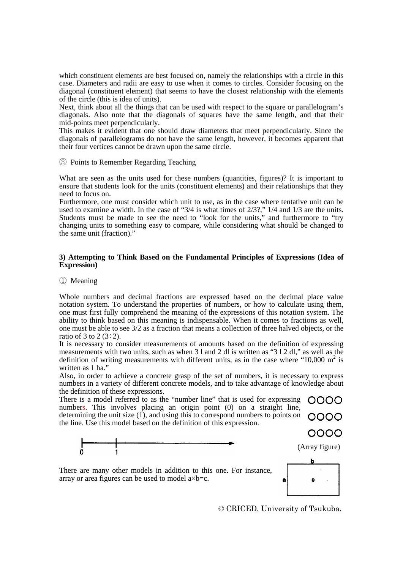which constituent elements are best focused on, namely the relationships with a circle in this case. Diameters and radii are easy to use when it comes to circles. Consider focusing on the diagonal (constituent element) that seems to have the closest relationship with the elements of the circle (this is idea of units).

Next, think about all the things that can be used with respect to the square or parallelogram's diagonals. Also note that the diagonals of squares have the same length, and that their mid-points meet perpendicularly.

This makes it evident that one should draw diameters that meet perpendicularly. Since the diagonals of parallelograms do not have the same length, however, it becomes apparent that their four vertices cannot be drawn upon the same circle.

③ Points to Remember Regarding Teaching

What are seen as the units used for these numbers (quantities, figures)? It is important to ensure that students look for the units (constituent elements) and their relationships that they need to focus on.

Furthermore, one must consider which unit to use, as in the case where tentative unit can be used to examine a width. In the case of "3/4 is what times of 2/3?," 1/4 and 1/3 are the units. Students must be made to see the need to "look for the units," and furthermore to "try changing units to something easy to compare, while considering what should be changed to the same unit (fraction)."

## **3) Attempting to Think Based on the Fundamental Principles of Expressions (Idea of Expression)**

① Meaning

Whole numbers and decimal fractions are expressed based on the decimal place value notation system. To understand the properties of numbers, or how to calculate using them, one must first fully comprehend the meaning of the expressions of this notation system. The ability to think based on this meaning is indispensable. When it comes to fractions as well, one must be able to see 3/2 as a fraction that means a collection of three halved objects, or the ratio of 3 to 2  $(3\div 2)$ .

It is necessary to consider measurements of amounts based on the definition of expressing measurements with two units, such as when 3 l and 2 dl is written as "3 l 2 dl," as well as the definition of writing measurements with different units, as in the case where "10,000  $m^2$  is written as 1 ha."

Also, in order to achieve a concrete grasp of the set of numbers, it is necessary to express numbers in a variety of different concrete models, and to take advantage of knowledge about the definition of these expressions.

There is a model referred to as the "number line" that is used for expressing  $OOO$ numbers. This involves placing an origin point (0) on a straight line, determining the unit size  $(1)$ , and using this to correspond numbers to points on 0000 the line. Use this model based on the definition of this expression.

0000





There are many other models in addition to this one. For instance, array or area figures can be used to model  $a \times b = c$ .

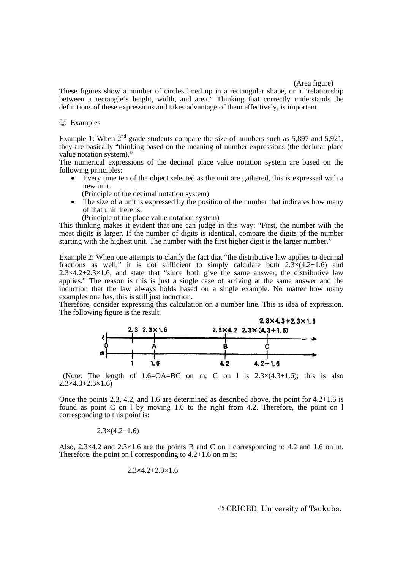These figures show a number of circles lined up in a rectangular shape, or a "relationship between a rectangle's height, width, and area." Thinking that correctly understands the definitions of these expressions and takes advantage of them effectively, is important.

#### ② Examples

Example 1: When  $2<sup>nd</sup>$  grade students compare the size of numbers such as 5,897 and 5,921, they are basically "thinking based on the meaning of number expressions (the decimal place value notation system)."

The numerical expressions of the decimal place value notation system are based on the following principles:

• Every time ten of the object selected as the unit are gathered, this is expressed with a new unit.

(Principle of the decimal notation system)

• The size of a unit is expressed by the position of the number that indicates how many of that unit there is.

(Principle of the place value notation system)

This thinking makes it evident that one can judge in this way: "First, the number with the most digits is larger. If the number of digits is identical, compare the digits of the number starting with the highest unit. The number with the first higher digit is the larger number."

Example 2: When one attempts to clarify the fact that "the distributive law applies to decimal fractions as well," it is not sufficient to simply calculate both  $2.\overline{3}\times(4.2+1.6)$  and  $2.3 \times 4.2 + 2.3 \times 1.6$ , and state that "since both give the same answer, the distributive law applies." The reason is this is just a single case of arriving at the same answer and the induction that the law always holds based on a single example. No matter how many examples one has, this is still just induction.

Therefore, consider expressing this calculation on a number line. This is idea of expression. The following figure is the result.



(Note: The length of  $1.6 = OA = BC$  on m; C on l is  $2.3 \times (4.3 + 1.6)$ ; this is also  $2.3\times4.3+2.3\times1.6$ 

Once the points 2.3, 4.2, and 1.6 are determined as described above, the point for 4.2+1.6 is found as point C on 1 by moving 1.6 to the right from 4.2. Therefore, the point on 1 corresponding to this point is:

 $2.3\times(4.2+1.6)$ 

Also, 2.3×4.2 and 2.3×1.6 are the points B and C on l corresponding to 4.2 and 1.6 on m. Therefore, the point on l corresponding to 4.2+1.6 on m is:

$$
2.3 \times 4.2 + 2.3 \times 1.6
$$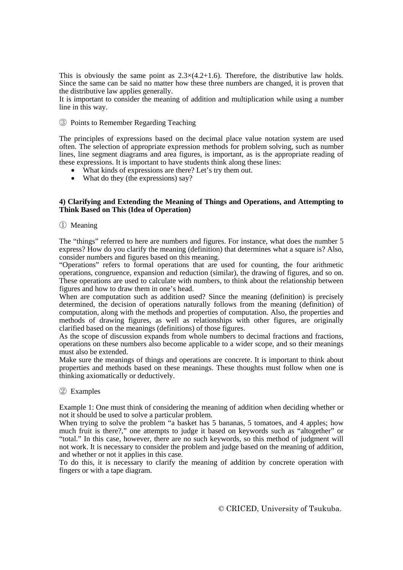This is obviously the same point as  $2.3 \times (4.2 + 1.6)$ . Therefore, the distributive law holds. Since the same can be said no matter how these three numbers are changed, it is proven that the distributive law applies generally.

It is important to consider the meaning of addition and multiplication while using a number line in this way.

#### ③ Points to Remember Regarding Teaching

The principles of expressions based on the decimal place value notation system are used often. The selection of appropriate expression methods for problem solving, such as number lines, line segment diagrams and area figures, is important, as is the appropriate reading of these expressions. It is important to have students think along these lines:

- What kinds of expressions are there? Let's try them out.
- What do they (the expressions) say?

#### **4) Clarifying and Extending the Meaning of Things and Operations, and Attempting to Think Based on This (Idea of Operation)**

① Meaning

The "things" referred to here are numbers and figures. For instance, what does the number 5 express? How do you clarify the meaning (definition) that determines what a square is? Also, consider numbers and figures based on this meaning.

"Operations" refers to formal operations that are used for counting, the four arithmetic operations, congruence, expansion and reduction (similar), the drawing of figures, and so on. These operations are used to calculate with numbers, to think about the relationship between figures and how to draw them in one's head.

When are computation such as addition used? Since the meaning (definition) is precisely determined, the decision of operations naturally follows from the meaning (definition) of computation, along with the methods and properties of computation. Also, the properties and methods of drawing figures, as well as relationships with other figures, are originally clarified based on the meanings (definitions) of those figures.

As the scope of discussion expands from whole numbers to decimal fractions and fractions, operations on these numbers also become applicable to a wider scope, and so their meanings must also be extended.

Make sure the meanings of things and operations are concrete. It is important to think about properties and methods based on these meanings. These thoughts must follow when one is thinking axiomatically or deductively.

#### ② Examples

Example 1: One must think of considering the meaning of addition when deciding whether or not it should be used to solve a particular problem.

When trying to solve the problem "a basket has 5 bananas, 5 tomatoes, and 4 apples; how much fruit is there?," one attempts to judge it based on keywords such as "altogether" or "total." In this case, however, there are no such keywords, so this method of judgment will not work. It is necessary to consider the problem and judge based on the meaning of addition, and whether or not it applies in this case.

To do this, it is necessary to clarify the meaning of addition by concrete operation with fingers or with a tape diagram.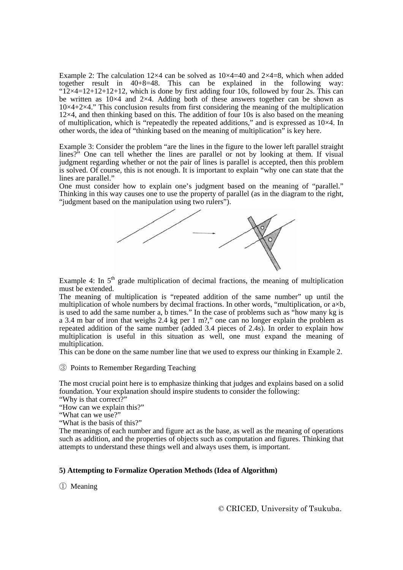Example 2: The calculation  $12\times4$  can be solved as  $10\times4=40$  and  $2\times4=8$ , which when added together result in 40+8=48. This can be explained in the following way: " $12\times4=12+12+12+12$ , which is done by first adding four 10s, followed by four 2s. This can be written as 10×4 and 2×4. Adding both of these answers together can be shown as 10×4+2×4." This conclusion results from first considering the meaning of the multiplication 12×4, and then thinking based on this. The addition of four 10s is also based on the meaning of multiplication, which is "repeatedly the repeated additions," and is expressed as  $10\times4$ . In other words, the idea of "thinking based on the meaning of multiplication" is key here.

Example 3: Consider the problem "are the lines in the figure to the lower left parallel straight lines?" One can tell whether the lines are parallel or not by looking at them. If visual judgment regarding whether or not the pair of lines is parallel is accepted, then this problem is solved. Of course, this is not enough. It is important to explain "why one can state that the lines are parallel."

One must consider how to explain one's judgment based on the meaning of "parallel." Thinking in this way causes one to use the property of parallel (as in the diagram to the right, "judgment based on the manipulation using two rulers").



Example 4: In  $5<sup>th</sup>$  grade multiplication of decimal fractions, the meaning of multiplication must be extended.

The meaning of multiplication is "repeated addition of the same number" up until the multiplication of whole numbers by decimal fractions. In other words, "multiplication, or a×b, is used to add the same number a, b times." In the case of problems such as "how many kg is a 3.4 m bar of iron that weighs 2.4 kg per 1 m?," one can no longer explain the problem as repeated addition of the same number (added 3.4 pieces of 2.4s). In order to explain how multiplication is useful in this situation as well, one must expand the meaning of multiplication.

This can be done on the same number line that we used to express our thinking in Example 2.

③ Points to Remember Regarding Teaching

The most crucial point here is to emphasize thinking that judges and explains based on a solid foundation. Your explanation should inspire students to consider the following:

"Why is that correct?"

"How can we explain this?"

"What can we use?"

"What is the basis of this?"

The meanings of each number and figure act as the base, as well as the meaning of operations such as addition, and the properties of objects such as computation and figures. Thinking that attempts to understand these things well and always uses them, is important.

## **5) Attempting to Formalize Operation Methods (Idea of Algorithm)**

① Meaning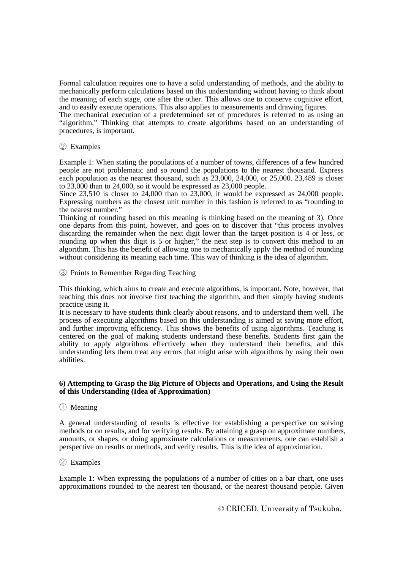Formal calculation requires one to have a solid understanding of methods, and the ability to mechanically perform calculations based on this understanding without having to think about the meaning of each stage, one after the other. This allows one to conserve cognitive effort, and to easily execute operations. This also applies to measurements and drawing figures.

The mechanical execution of a predetermined set of procedures is referred to as using an "algorithm." Thinking that attempts to create algorithms based on an understanding of procedures, is important.

② Examples

Example 1: When stating the populations of a number of towns, differences of a few hundred people are not problematic and so round the populations to the nearest thousand. Express each population as the nearest thousand, such as 23,000, 24,000, or 25,000. 23,489 is closer to 23,000 than to 24,000, so it would be expressed as 23,000 people.

Since 23,510 is closer to 24,000 than to 23,000, it would be expressed as 24,000 people. Expressing numbers as the closest unit number in this fashion is referred to as "rounding to the nearest number."

Thinking of rounding based on this meaning is thinking based on the meaning of 3). Once one departs from this point, however, and goes on to discover that "this process involves discarding the remainder when the next digit lower than the target position is 4 or less, or rounding up when this digit is 5 or higher," the next step is to convert this method to an algorithm. This has the benefit of allowing one to mechanically apply the method of rounding without considering its meaning each time. This way of thinking is the idea of algorithm.

③ Points to Remember Regarding Teaching

This thinking, which aims to create and execute algorithms, is important. Note, however, that teaching this does not involve first teaching the algorithm, and then simply having students practice using it.

It is necessary to have students think clearly about reasons, and to understand them well. The process of executing algorithms based on this understanding is aimed at saving more effort, and further improving efficiency. This shows the benefits of using algorithms. Teaching is centered on the goal of making students understand these benefits. Students first gain the ability to apply algorithms effectively when they understand their benefits, and this understanding lets them treat any errors that might arise with algorithms by using their own abilities.

## **6) Attempting to Grasp the Big Picture of Objects and Operations, and Using the Result of this Understanding (Idea of Approximation)**

## ① Meaning

A general understanding of results is effective for establishing a perspective on solving methods or on results, and for verifying results. By attaining a grasp on approximate numbers, amounts, or shapes, or doing approximate calculations or measurements, one can establish a perspective on results or methods, and verify results. This is the idea of approximation.

## ② Examples

Example 1: When expressing the populations of a number of cities on a bar chart, one uses approximations rounded to the nearest ten thousand, or the nearest thousand people. Given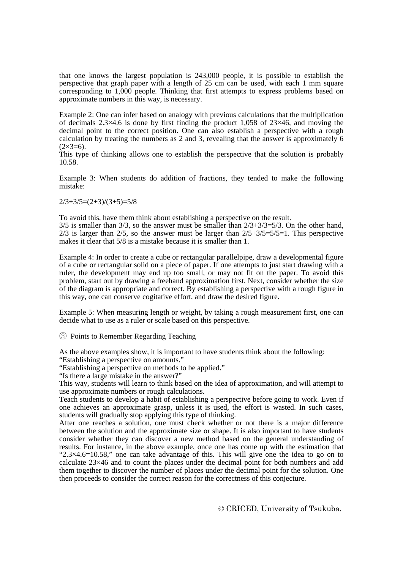that one knows the largest population is 243,000 people, it is possible to establish the perspective that graph paper with a length of 25 cm can be used, with each 1 mm square corresponding to 1,000 people. Thinking that first attempts to express problems based on approximate numbers in this way, is necessary.

Example 2: One can infer based on analogy with previous calculations that the multiplication of decimals  $2.3 \times 4.6$  is done by first finding the product 1,058 of  $23 \times 46$ , and moving the decimal point to the correct position. One can also establish a perspective with a rough calculation by treating the numbers as 2 and 3, revealing that the answer is approximately 6  $(2\times3=6)$ .

This type of thinking allows one to establish the perspective that the solution is probably 10.58.

Example 3: When students do addition of fractions, they tended to make the following mistake:

#### $2/3+3/5=(2+3)/(3+5)=5/8$

To avoid this, have them think about establishing a perspective on the result.  $3/5$  is smaller than  $3/3$ , so the answer must be smaller than  $2/3+3/3=5/3$ . On the other hand,  $2/3$  is larger than  $2/5$ , so the answer must be larger than  $2/5+3/5=5/5=1$ . This perspective makes it clear that 5/8 is a mistake because it is smaller than 1.

Example 4: In order to create a cube or rectangular parallelpipe, draw a developmental figure of a cube or rectangular solid on a piece of paper. If one attempts to just start drawing with a ruler, the development may end up too small, or may not fit on the paper. To avoid this problem, start out by drawing a freehand approximation first. Next, consider whether the size of the diagram is appropriate and correct. By establishing a perspective with a rough figure in this way, one can conserve cogitative effort, and draw the desired figure.

Example 5: When measuring length or weight, by taking a rough measurement first, one can decide what to use as a ruler or scale based on this perspective.

③ Points to Remember Regarding Teaching

As the above examples show, it is important to have students think about the following:

"Establishing a perspective on amounts."

"Establishing a perspective on methods to be applied."

"Is there a large mistake in the answer?"

This way, students will learn to think based on the idea of approximation, and will attempt to use approximate numbers or rough calculations.

Teach students to develop a habit of establishing a perspective before going to work. Even if one achieves an approximate grasp, unless it is used, the effort is wasted. In such cases, students will gradually stop applying this type of thinking.

After one reaches a solution, one must check whether or not there is a major difference between the solution and the approximate size or shape. It is also important to have students consider whether they can discover a new method based on the general understanding of results. For instance, in the above example, once one has come up with the estimation that "2.3×4.6=10.58," one can take advantage of this. This will give one the idea to go on to calculate 23×46 and to count the places under the decimal point for both numbers and add them together to discover the number of places under the decimal point for the solution. One then proceeds to consider the correct reason for the correctness of this conjecture.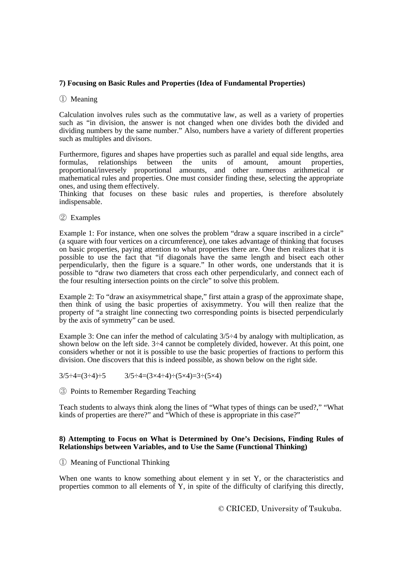## **7) Focusing on Basic Rules and Properties (Idea of Fundamental Properties)**

#### ① Meaning

Calculation involves rules such as the commutative law, as well as a variety of properties such as "in division, the answer is not changed when one divides both the divided and dividing numbers by the same number." Also, numbers have a variety of different properties such as multiples and divisors.

Furthermore, figures and shapes have properties such as parallel and equal side lengths, area formulas, relationships between the units of amount, amount properties, formulas, relationships between the units of amount, amount properties, proportional/inversely proportional amounts, and other numerous arithmetical or mathematical rules and properties. One must consider finding these, selecting the appropriate ones, and using them effectively.

Thinking that focuses on these basic rules and properties, is therefore absolutely indispensable.

② Examples

Example 1: For instance, when one solves the problem "draw a square inscribed in a circle" (a square with four vertices on a circumference), one takes advantage of thinking that focuses on basic properties, paying attention to what properties there are. One then realizes that it is possible to use the fact that "if diagonals have the same length and bisect each other perpendicularly, then the figure is a square." In other words, one understands that it is possible to "draw two diameters that cross each other perpendicularly, and connect each of the four resulting intersection points on the circle" to solve this problem.

Example 2: To "draw an axisymmetrical shape," first attain a grasp of the approximate shape, then think of using the basic properties of axisymmetry. You will then realize that the property of "a straight line connecting two corresponding points is bisected perpendicularly by the axis of symmetry" can be used.

Example 3: One can infer the method of calculating  $3/5 \div 4$  by analogy with multiplication, as shown below on the left side. 3÷4 cannot be completely divided, however. At this point, one considers whether or not it is possible to use the basic properties of fractions to perform this division. One discovers that this is indeed possible, as shown below on the right side.

- $3/5 \div 4 = (3 \div 4) \div 5$   $3/5 \div 4 = (3 \times 4 \div 4) \div (5 \times 4) = 3 \div (5 \times 4)$
- ③ Points to Remember Regarding Teaching

Teach students to always think along the lines of "What types of things can be used?," "What kinds of properties are there?" and "Which of these is appropriate in this case?"

#### **8) Attempting to Focus on What is Determined by One's Decisions, Finding Rules of Relationships between Variables, and to Use the Same (Functional Thinking)**

① Meaning of Functional Thinking

When one wants to know something about element y in set Y, or the characteristics and properties common to all elements of Y, in spite of the difficulty of clarifying this directly,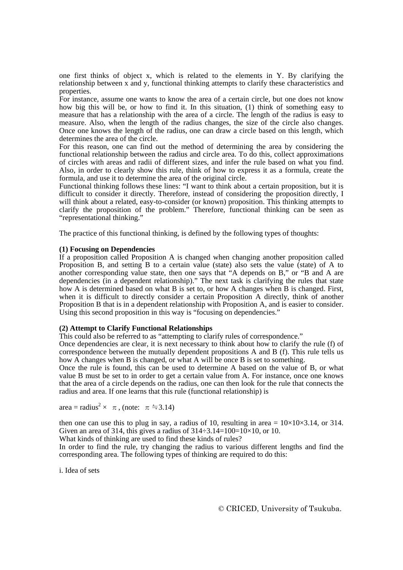one first thinks of object x, which is related to the elements in Y. By clarifying the relationship between x and y, functional thinking attempts to clarify these characteristics and properties.

For instance, assume one wants to know the area of a certain circle, but one does not know how big this will be, or how to find it. In this situation, (1) think of something easy to measure that has a relationship with the area of a circle. The length of the radius is easy to measure. Also, when the length of the radius changes, the size of the circle also changes. Once one knows the length of the radius, one can draw a circle based on this length, which determines the area of the circle.

For this reason, one can find out the method of determining the area by considering the functional relationship between the radius and circle area. To do this, collect approximations of circles with areas and radii of different sizes, and infer the rule based on what you find. Also, in order to clearly show this rule, think of how to express it as a formula, create the formula, and use it to determine the area of the original circle.

Functional thinking follows these lines: "I want to think about a certain proposition, but it is difficult to consider it directly. Therefore, instead of considering the proposition directly, I will think about a related, easy-to-consider (or known) proposition. This thinking attempts to clarify the proposition of the problem." Therefore, functional thinking can be seen as "representational thinking."

The practice of this functional thinking, is defined by the following types of thoughts:

#### **(1) Focusing on Dependencies**

If a proposition called Proposition A is changed when changing another proposition called Proposition B, and setting B to a certain value (state) also sets the value (state) of A to another corresponding value state, then one says that "A depends on B," or "B and A are dependencies (in a dependent relationship)." The next task is clarifying the rules that state how A is determined based on what B is set to, or how A changes when B is changed. First, when it is difficult to directly consider a certain Proposition A directly, think of another Proposition B that is in a dependent relationship with Proposition A, and is easier to consider. Using this second proposition in this way is "focusing on dependencies."

## **(2) Attempt to Clarify Functional Relationships**

This could also be referred to as "attempting to clarify rules of correspondence."

Once dependencies are clear, it is next necessary to think about how to clarify the rule (f) of correspondence between the mutually dependent propositions A and B (f). This rule tells us how A changes when B is changed, or what A will be once B is set to something.

Once the rule is found, this can be used to determine A based on the value of B, or what value B must be set to in order to get a certain value from A. For instance, once one knows that the area of a circle depends on the radius, one can then look for the rule that connects the radius and area. If one learns that this rule (functional relationship) is

area = radius<sup>2</sup> ×  $\pi$ , (note:  $\pi \approx 3.14$ )

then one can use this to plug in say, a radius of 10, resulting in area =  $10\times10\times3.14$ , or 314. Given an area of 314, this gives a radius of  $314 \div 3.14 = 100 = 10 \times 10$ , or 10.

What kinds of thinking are used to find these kinds of rules?

In order to find the rule, try changing the radius to various different lengths and find the corresponding area. The following types of thinking are required to do this:

i. Idea of sets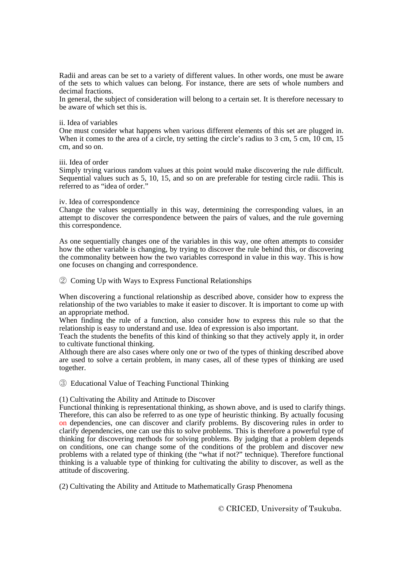Radii and areas can be set to a variety of different values. In other words, one must be aware of the sets to which values can belong. For instance, there are sets of whole numbers and decimal fractions.

In general, the subject of consideration will belong to a certain set. It is therefore necessary to be aware of which set this is.

#### ii. Idea of variables

One must consider what happens when various different elements of this set are plugged in. When it comes to the area of a circle, try setting the circle's radius to 3 cm, 5 cm, 10 cm, 15 cm, and so on.

#### iii. Idea of order

Simply trying various random values at this point would make discovering the rule difficult. Sequential values such as 5, 10, 15, and so on are preferable for testing circle radii. This is referred to as "idea of order."

#### iv. Idea of correspondence

Change the values sequentially in this way, determining the corresponding values, in an attempt to discover the correspondence between the pairs of values, and the rule governing this correspondence.

As one sequentially changes one of the variables in this way, one often attempts to consider how the other variable is changing, by trying to discover the rule behind this, or discovering the commonality between how the two variables correspond in value in this way. This is how one focuses on changing and correspondence.

② Coming Up with Ways to Express Functional Relationships

When discovering a functional relationship as described above, consider how to express the relationship of the two variables to make it easier to discover. It is important to come up with an appropriate method.

When finding the rule of a function, also consider how to express this rule so that the relationship is easy to understand and use. Idea of expression is also important.

Teach the students the benefits of this kind of thinking so that they actively apply it, in order to cultivate functional thinking.

Although there are also cases where only one or two of the types of thinking described above are used to solve a certain problem, in many cases, all of these types of thinking are used together.

③ Educational Value of Teaching Functional Thinking

## (1) Cultivating the Ability and Attitude to Discover

Functional thinking is representational thinking, as shown above, and is used to clarify things. Therefore, this can also be referred to as one type of heuristic thinking. By actually focusing on dependencies, one can discover and clarify problems. By discovering rules in order to clarify dependencies, one can use this to solve problems. This is therefore a powerful type of thinking for discovering methods for solving problems. By judging that a problem depends on conditions, one can change some of the conditions of the problem and discover new problems with a related type of thinking (the "what if not?" technique). Therefore functional thinking is a valuable type of thinking for cultivating the ability to discover, as well as the attitude of discovering.

(2) Cultivating the Ability and Attitude to Mathematically Grasp Phenomena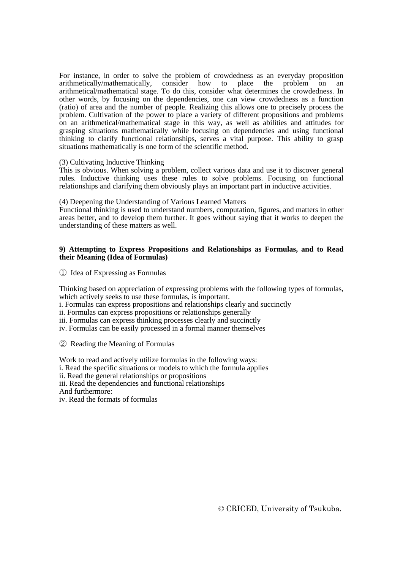For instance, in order to solve the problem of crowdedness as an everyday proposition arithmetically/mathematically, consider how to place the problem on an arithmetically/mathematically, consider how to place the problem on an arithmetical/mathematical stage. To do this, consider what determines the crowdedness. In other words, by focusing on the dependencies, one can view crowdedness as a function (ratio) of area and the number of people. Realizing this allows one to precisely process the problem. Cultivation of the power to place a variety of different propositions and problems on an arithmetical/mathematical stage in this way, as well as abilities and attitudes for grasping situations mathematically while focusing on dependencies and using functional thinking to clarify functional relationships, serves a vital purpose. This ability to grasp situations mathematically is one form of the scientific method.

#### (3) Cultivating Inductive Thinking

This is obvious. When solving a problem, collect various data and use it to discover general rules. Inductive thinking uses these rules to solve problems. Focusing on functional relationships and clarifying them obviously plays an important part in inductive activities.

(4) Deepening the Understanding of Various Learned Matters

Functional thinking is used to understand numbers, computation, figures, and matters in other areas better, and to develop them further. It goes without saying that it works to deepen the understanding of these matters as well.

#### **9) Attempting to Express Propositions and Relationships as Formulas, and to Read their Meaning (Idea of Formulas)**

① Idea of Expressing as Formulas

Thinking based on appreciation of expressing problems with the following types of formulas, which actively seeks to use these formulas, is important.

i. Formulas can express propositions and relationships clearly and succinctly

ii. Formulas can express propositions or relationships generally

iii. Formulas can express thinking processes clearly and succinctly

iv. Formulas can be easily processed in a formal manner themselves

② Reading the Meaning of Formulas

Work to read and actively utilize formulas in the following ways:

i. Read the specific situations or models to which the formula applies

ii. Read the general relationships or propositions

iii. Read the dependencies and functional relationships

And furthermore:

iv. Read the formats of formulas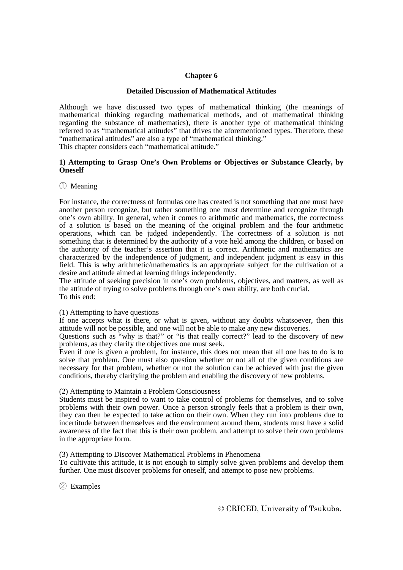## **Chapter 6**

#### **Detailed Discussion of Mathematical Attitudes**

Although we have discussed two types of mathematical thinking (the meanings of mathematical thinking regarding mathematical methods, and of mathematical thinking regarding the substance of mathematics), there is another type of mathematical thinking referred to as "mathematical attitudes" that drives the aforementioned types. Therefore, these "mathematical attitudes" are also a type of "mathematical thinking."

This chapter considers each "mathematical attitude."

#### **1) Attempting to Grasp One's Own Problems or Objectives or Substance Clearly, by Oneself**

#### ① Meaning

For instance, the correctness of formulas one has created is not something that one must have another person recognize, but rather something one must determine and recognize through one's own ability. In general, when it comes to arithmetic and mathematics, the correctness of a solution is based on the meaning of the original problem and the four arithmetic operations, which can be judged independently. The correctness of a solution is not something that is determined by the authority of a vote held among the children, or based on the authority of the teacher's assertion that it is correct. Arithmetic and mathematics are characterized by the independence of judgment, and independent judgment is easy in this field. This is why arithmetic/mathematics is an appropriate subject for the cultivation of a desire and attitude aimed at learning things independently.

The attitude of seeking precision in one's own problems, objectives, and matters, as well as the attitude of trying to solve problems through one's own ability, are both crucial. To this end:

#### (1) Attempting to have questions

If one accepts what is there, or what is given, without any doubts whatsoever, then this attitude will not be possible, and one will not be able to make any new discoveries.

Questions such as "why is that?" or "is that really correct?" lead to the discovery of new problems, as they clarify the objectives one must seek.

Even if one is given a problem, for instance, this does not mean that all one has to do is to solve that problem. One must also question whether or not all of the given conditions are necessary for that problem, whether or not the solution can be achieved with just the given conditions, thereby clarifying the problem and enabling the discovery of new problems.

#### (2) Attempting to Maintain a Problem Consciousness

Students must be inspired to want to take control of problems for themselves, and to solve problems with their own power. Once a person strongly feels that a problem is their own, they can then be expected to take action on their own. When they run into problems due to incertitude between themselves and the environment around them, students must have a solid awareness of the fact that this is their own problem, and attempt to solve their own problems in the appropriate form.

#### (3) Attempting to Discover Mathematical Problems in Phenomena

To cultivate this attitude, it is not enough to simply solve given problems and develop them further. One must discover problems for oneself, and attempt to pose new problems.

② Examples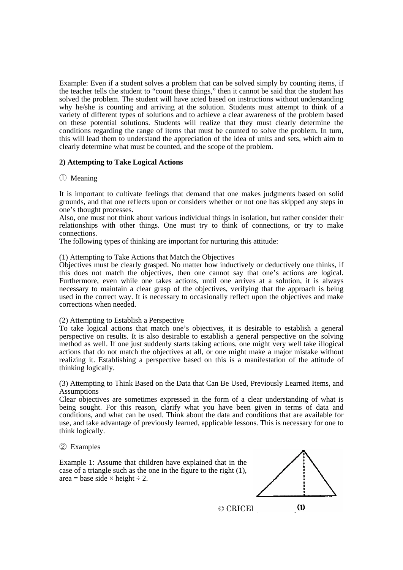Example: Even if a student solves a problem that can be solved simply by counting items, if the teacher tells the student to "count these things," then it cannot be said that the student has solved the problem. The student will have acted based on instructions without understanding why he/she is counting and arriving at the solution. Students must attempt to think of a variety of different types of solutions and to achieve a clear awareness of the problem based on these potential solutions. Students will realize that they must clearly determine the conditions regarding the range of items that must be counted to solve the problem. In turn, this will lead them to understand the appreciation of the idea of units and sets, which aim to clearly determine what must be counted, and the scope of the problem.

## **2) Attempting to Take Logical Actions**

## ① Meaning

It is important to cultivate feelings that demand that one makes judgments based on solid grounds, and that one reflects upon or considers whether or not one has skipped any steps in one's thought processes.

Also, one must not think about various individual things in isolation, but rather consider their relationships with other things. One must try to think of connections, or try to make connections.

The following types of thinking are important for nurturing this attitude:

(1) Attempting to Take Actions that Match the Objectives

Objectives must be clearly grasped. No matter how inductively or deductively one thinks, if this does not match the objectives, then one cannot say that one's actions are logical. Furthermore, even while one takes actions, until one arrives at a solution, it is always necessary to maintain a clear grasp of the objectives, verifying that the approach is being used in the correct way. It is necessary to occasionally reflect upon the objectives and make corrections when needed.

#### (2) Attempting to Establish a Perspective

To take logical actions that match one's objectives, it is desirable to establish a general perspective on results. It is also desirable to establish a general perspective on the solving method as well. If one just suddenly starts taking actions, one might very well take illogical actions that do not match the objectives at all, or one might make a major mistake without realizing it. Establishing a perspective based on this is a manifestation of the attitude of thinking logically.

(3) Attempting to Think Based on the Data that Can Be Used, Previously Learned Items, and **Assumptions** 

Clear objectives are sometimes expressed in the form of a clear understanding of what is being sought. For this reason, clarify what you have been given in terms of data and conditions, and what can be used. Think about the data and conditions that are available for use, and take advantage of previously learned, applicable lessons. This is necessary for one to think logically.

## ② Examples

Example 1: Assume that children have explained that in the case of a triangle such as the one in the figure to the right (1), area = base side  $\times$  height  $\div$  2.

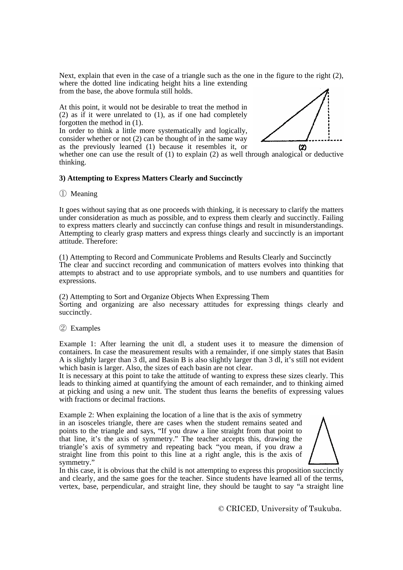Next, explain that even in the case of a triangle such as the one in the figure to the right (2), where the dotted line indicating height hits a line extending from the base, the above formula still holds.

At this point, it would not be desirable to treat the method in (2) as if it were unrelated to (1), as if one had completely forgotten the method in (1).

In order to think a little more systematically and logically, consider whether or not (2) can be thought of in the same way as the previously learned (1) because it resembles it, or



whether one can use the result of (1) to explain (2) as well through analogical or deductive thinking.

## **3) Attempting to Express Matters Clearly and Succinctly**

## ① Meaning

It goes without saying that as one proceeds with thinking, it is necessary to clarify the matters under consideration as much as possible, and to express them clearly and succinctly. Failing to express matters clearly and succinctly can confuse things and result in misunderstandings. Attempting to clearly grasp matters and express things clearly and succinctly is an important attitude. Therefore:

(1) Attempting to Record and Communicate Problems and Results Clearly and Succinctly The clear and succinct recording and communication of matters evolves into thinking that attempts to abstract and to use appropriate symbols, and to use numbers and quantities for expressions.

(2) Attempting to Sort and Organize Objects When Expressing Them Sorting and organizing are also necessary attitudes for expressing things clearly and succinctly.

## ② Examples

Example 1: After learning the unit dl, a student uses it to measure the dimension of containers. In case the measurement results with a remainder, if one simply states that Basin A is slightly larger than 3 dl, and Basin B is also slightly larger than 3 dl, it's still not evident which basin is larger. Also, the sizes of each basin are not clear.

It is necessary at this point to take the attitude of wanting to express these sizes clearly. This leads to thinking aimed at quantifying the amount of each remainder, and to thinking aimed at picking and using a new unit. The student thus learns the benefits of expressing values with fractions or decimal fractions.

Example 2: When explaining the location of a line that is the axis of symmetry in an isosceles triangle, there are cases when the student remains seated and points to the triangle and says, "If you draw a line straight from that point to that line, it's the axis of symmetry." The teacher accepts this, drawing the triangle's axis of symmetry and repeating back "you mean, if you draw a straight line from this point to this line at a right angle, this is the axis of symmetry."



In this case, it is obvious that the child is not attempting to express this proposition succinctly and clearly, and the same goes for the teacher. Since students have learned all of the terms, vertex, base, perpendicular, and straight line, they should be taught to say "a straight line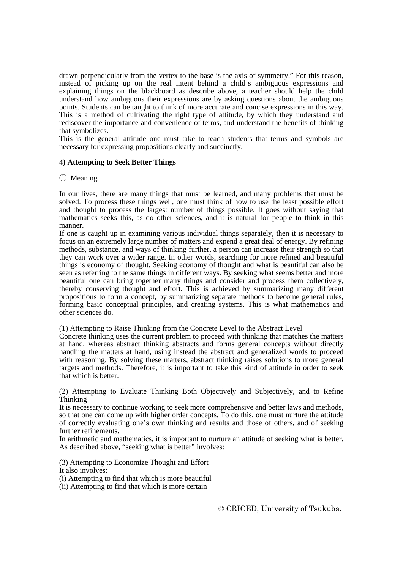drawn perpendicularly from the vertex to the base is the axis of symmetry." For this reason, instead of picking up on the real intent behind a child's ambiguous expressions and explaining things on the blackboard as describe above, a teacher should help the child understand how ambiguous their expressions are by asking questions about the ambiguous points. Students can be taught to think of more accurate and concise expressions in this way. This is a method of cultivating the right type of attitude, by which they understand and rediscover the importance and convenience of terms, and understand the benefits of thinking that symbolizes.

This is the general attitude one must take to teach students that terms and symbols are necessary for expressing propositions clearly and succinctly.

## **4) Attempting to Seek Better Things**

#### ① Meaning

In our lives, there are many things that must be learned, and many problems that must be solved. To process these things well, one must think of how to use the least possible effort and thought to process the largest number of things possible. It goes without saying that mathematics seeks this, as do other sciences, and it is natural for people to think in this manner.

If one is caught up in examining various individual things separately, then it is necessary to focus on an extremely large number of matters and expend a great deal of energy. By refining methods, substance, and ways of thinking further, a person can increase their strength so that they can work over a wider range. In other words, searching for more refined and beautiful things is economy of thought. Seeking economy of thought and what is beautiful can also be seen as referring to the same things in different ways. By seeking what seems better and more beautiful one can bring together many things and consider and process them collectively, thereby conserving thought and effort. This is achieved by summarizing many different propositions to form a concept, by summarizing separate methods to become general rules, forming basic conceptual principles, and creating systems. This is what mathematics and other sciences do.

(1) Attempting to Raise Thinking from the Concrete Level to the Abstract Level

Concrete thinking uses the current problem to proceed with thinking that matches the matters at hand, whereas abstract thinking abstracts and forms general concepts without directly handling the matters at hand, using instead the abstract and generalized words to proceed with reasoning. By solving these matters, abstract thinking raises solutions to more general targets and methods. Therefore, it is important to take this kind of attitude in order to seek that which is better.

(2) Attempting to Evaluate Thinking Both Objectively and Subjectively, and to Refine Thinking

It is necessary to continue working to seek more comprehensive and better laws and methods, so that one can come up with higher order concepts. To do this, one must nurture the attitude of correctly evaluating one's own thinking and results and those of others, and of seeking further refinements.

In arithmetic and mathematics, it is important to nurture an attitude of seeking what is better. As described above, "seeking what is better" involves:

(3) Attempting to Economize Thought and Effort

It also involves:

(i) Attempting to find that which is more beautiful

(ii) Attempting to find that which is more certain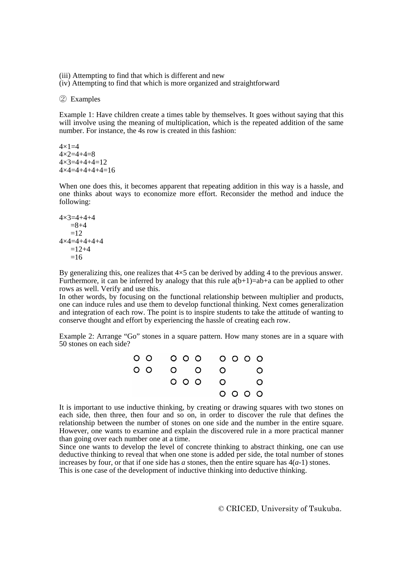(iii) Attempting to find that which is different and new (iv) Attempting to find that which is more organized and straightforward

② Examples

Example 1: Have children create a times table by themselves. It goes without saying that this will involve using the meaning of multiplication, which is the repeated addition of the same number. For instance, the 4s row is created in this fashion:

 $4\times1=4$  $4 \times 2 = 4 + 4 = 8$  $4 \times 3 = 4 + 4 + 4 = 12$  $4 \times 4 = 4 + 4 + 4 + 4 = 16$ 

When one does this, it becomes apparent that repeating addition in this way is a hassle, and one thinks about ways to economize more effort. Reconsider the method and induce the following:

 $4 \times 3 = 4 + 4 + 4$  $=8+4$  $=12$  $4 \times 4 = 4 + 4 + 4 + 4$  $=12+4$  $=16$ 

By generalizing this, one realizes that  $4\times5$  can be derived by adding 4 to the previous answer. Furthermore, it can be inferred by analogy that this rule  $a(b+1)=ab+a$  can be applied to other rows as well. Verify and use this.

In other words, by focusing on the functional relationship between multiplier and products, one can induce rules and use them to develop functional thinking. Next comes generalization and integration of each row. The point is to inspire students to take the attitude of wanting to conserve thought and effort by experiencing the hassle of creating each row.

Example 2: Arrange "Go" stones in a square pattern. How many stones are in a square with 50 stones on each side?

|  | 000000000 |  |      |  |      |          |
|--|-----------|--|------|--|------|----------|
|  | 000000    |  |      |  |      | O        |
|  |           |  | 0000 |  |      | $\Omega$ |
|  |           |  |      |  | 0000 |          |

It is important to use inductive thinking, by creating or drawing squares with two stones on each side, then three, then four and so on, in order to discover the rule that defines the relationship between the number of stones on one side and the number in the entire square. However, one wants to examine and explain the discovered rule in a more practical manner than going over each number one at a time.

Since one wants to develop the level of concrete thinking to abstract thinking, one can use deductive thinking to reveal that when one stone is added per side, the total number of stones increases by four, or that if one side has *a* stones, then the entire square has  $4(a-1)$  stones. This is one case of the development of inductive thinking into deductive thinking.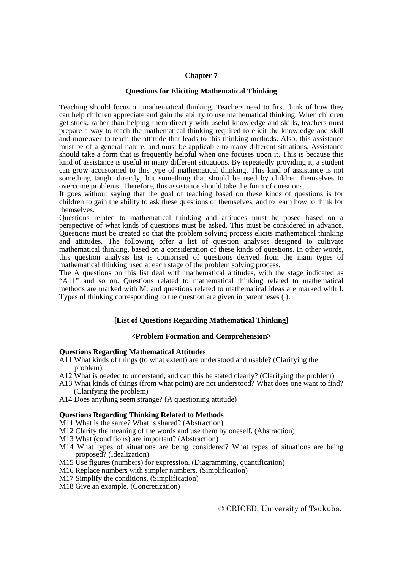#### **Chapter 7**

#### **Questions for Eliciting Mathematical Thinking**

Teaching should focus on mathematical thinking. Teachers need to first think of how they can help children appreciate and gain the ability to use mathematical thinking. When children get stuck, rather than helping them directly with useful knowledge and skills, teachers must prepare a way to teach the mathematical thinking required to elicit the knowledge and skill and moreover to teach the attitude that leads to this thinking methods. Also, this assistance must be of a general nature, and must be applicable to many different situations. Assistance should take a form that is frequently helpful when one focuses upon it. This is because this kind of assistance is useful in many different situations. By repeatedly providing it, a student can grow accustomed to this type of mathematical thinking. This kind of assistance is not something taught directly, but something that should be used by children themselves to overcome problems. Therefore, this assistance should take the form of questions.

It goes without saying that the goal of teaching based on these kinds of questions is for children to gain the ability to ask these questions of themselves, and to learn how to think for themselves.

Questions related to mathematical thinking and attitudes must be posed based on a perspective of what kinds of questions must be asked. This must be considered in advance. Questions must be created so that the problem solving process elicits mathematical thinking and attitudes. The following offer a list of question analyses designed to cultivate mathematical thinking, based on a consideration of these kinds of questions. In other words, this question analysis list is comprised of questions derived from the main types of mathematical thinking used at each stage of the problem solving process.

The A questions on this list deal with mathematical attitudes, with the stage indicated as "A11" and so on. Questions related to mathematical thinking related to mathematical methods are marked with M, and questions related to mathematical ideas are marked with I. Types of thinking corresponding to the question are given in parentheses ( ).

## **[List of Questions Regarding Mathematical Thinking]**

#### **<Problem Formation and Comprehension>**

## **Questions Regarding Mathematical Attitudes**

- A11 What kinds of things (to what extent) are understood and usable? (Clarifying the problem)
- A12 What is needed to understand, and can this be stated clearly? (Clarifying the problem)
- A13 What kinds of things (from what point) are not understood? What does one want to find? (Clarifying the problem)
- A14 Does anything seem strange? (A questioning attitude)

## **Questions Regarding Thinking Related to Methods**

- M11 What is the same? What is shared? (Abstraction)
- M12 Clarify the meaning of the words and use them by oneself. (Abstraction)
- M13 What (conditions) are important? (Abstraction)
- M14 What types of situations are being considered? What types of situations are being proposed? (Idealization)
- M15 Use figures (numbers) for expression. (Diagramming, quantification)
- M16 Replace numbers with simpler numbers. (Simplification)
- M17 Simplify the conditions. (Simplification)
- M18 Give an example. (Concretization)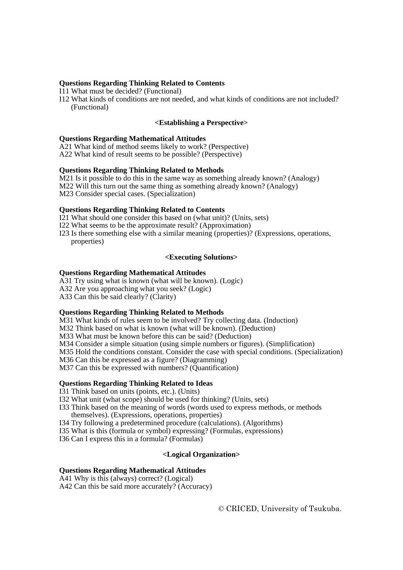#### **Questions Regarding Thinking Related to Contents**

I11 What must be decided? (Functional)

I12 What kinds of conditions are not needed, and what kinds of conditions are not included? (Functional)

#### **<Establishing a Perspective>**

#### **Questions Regarding Mathematical Attitudes**

A21 What kind of method seems likely to work? (Perspective) A22 What kind of result seems to be possible? (Perspective)

#### **Questions Regarding Thinking Related to Methods**

M21 Is it possible to do this in the same way as something already known? (Analogy) M22 Will this turn out the same thing as something already known? (Analogy)

M23 Consider special cases. (Specialization)

#### **Questions Regarding Thinking Related to Contents**

- I21 What should one consider this based on (what unit)? (Units, sets)
- I22 What seems to be the approximate result? (Approximation)
- I23 Is there something else with a similar meaning (properties)? (Expressions, operations, properties)

#### **<Executing Solutions>**

#### **Questions Regarding Mathematical Attitudes**

A31 Try using what is known (what will be known). (Logic)

A32 Are you approaching what you seek? (Logic)

A33 Can this be said clearly? (Clarity)

#### **Questions Regarding Thinking Related to Methods**

M31 What kinds of rules seem to be involved? Try collecting data. (Induction)

M32 Think based on what is known (what will be known). (Deduction)

M33 What must be known before this can be said? (Deduction)

M34 Consider a simple situation (using simple numbers or figures). (Simplification)

M35 Hold the conditions constant. Consider the case with special conditions. (Specialization)

M36 Can this be expressed as a figure? (Diagramming)

M37 Can this be expressed with numbers? (Quantification)

## **Questions Regarding Thinking Related to Ideas**

I31 Think based on units (points, etc.). (Units)

I32 What unit (what scope) should be used for thinking? (Units, sets)

- I33 Think based on the meaning of words (words used to express methods, or methods themselves). (Expressions, operations, properties)
- I34 Try following a predetermined procedure (calculations). (Algorithms)
- I35 What is this (formula or symbol) expressing? (Formulas, expressions)

I36 Can I express this in a formula? (Formulas)

## **<Logical Organization>**

#### **Questions Regarding Mathematical Attitudes**

A41 Why is this (always) correct? (Logical)

A42 Can this be said more accurately? (Accuracy)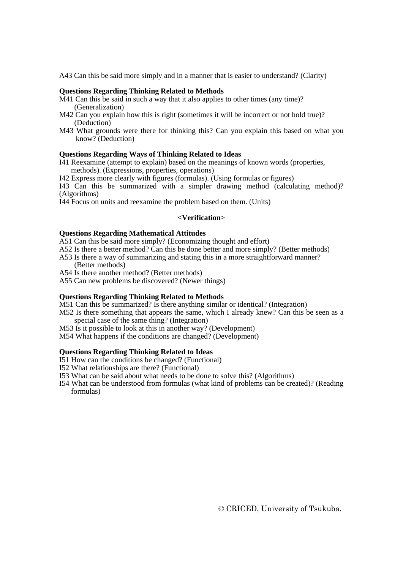A43 Can this be said more simply and in a manner that is easier to understand? (Clarity)

#### **Questions Regarding Thinking Related to Methods**

- M41 Can this be said in such a way that it also applies to other times (any time)? (Generalization)
- M42 Can you explain how this is right (sometimes it will be incorrect or not hold true)? (Deduction)
- M43 What grounds were there for thinking this? Can you explain this based on what you know? (Deduction)

#### **Questions Regarding Ways of Thinking Related to Ideas**

- I41 Reexamine (attempt to explain) based on the meanings of known words (properties, methods). (Expressions, properties, operations)
- I42 Express more clearly with figures (formulas). (Using formulas or figures)

I43 Can this be summarized with a simpler drawing method (calculating method)? (Algorithms)

I44 Focus on units and reexamine the problem based on them. (Units)

#### **<Verification>**

#### **Questions Regarding Mathematical Attitudes**

- A51 Can this be said more simply? (Economizing thought and effort)
- A52 Is there a better method? Can this be done better and more simply? (Better methods)
- A53 Is there a way of summarizing and stating this in a more straightforward manner? (Better methods)
- A54 Is there another method? (Better methods)
- A55 Can new problems be discovered? (Newer things)

#### **Questions Regarding Thinking Related to Methods**

M51 Can this be summarized? Is there anything similar or identical? (Integration)

- M52 Is there something that appears the same, which I already knew? Can this be seen as a special case of the same thing? (Integration)
- M53 Is it possible to look at this in another way? (Development)
- M54 What happens if the conditions are changed? (Development)

#### **Questions Regarding Thinking Related to Ideas**

- I51 How can the conditions be changed? (Functional)
- I52 What relationships are there? (Functional)
- I53 What can be said about what needs to be done to solve this? (Algorithms)
- I54 What can be understood from formulas (what kind of problems can be created)? (Reading formulas)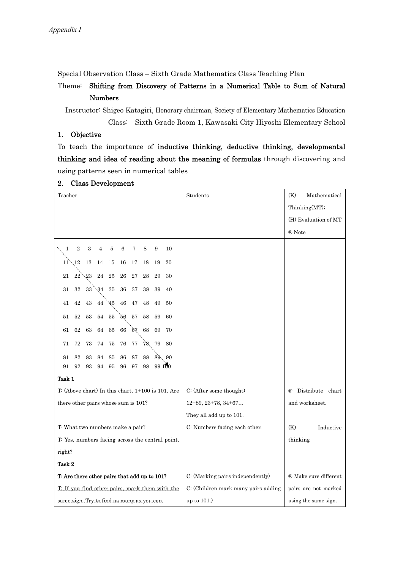Special Observation Class – Sixth Grade Mathematics Class Teaching Plan

## Theme: Shifting from Discovery of Patterns in a Numerical Table to Sum of Natural Numbers

Instructor: Shigeo Katagiri, Honorary chairman, Society of Elementary Mathematics Education Class: Sixth Grade Room 1, Kawasaki City Hiyoshi Elementary School

## 1. Objective

To teach the importance of inductive thinking, deductive thinking, developmental thinking and idea of reading about the meaning of formulas through discovering and using patterns seen in numerical tables

## 2. Class Development

| Teacher                                      |                |              |              |          |          |          |           |                 |                                                   | Students                            | (K)                  | Mathematical          |
|----------------------------------------------|----------------|--------------|--------------|----------|----------|----------|-----------|-----------------|---------------------------------------------------|-------------------------------------|----------------------|-----------------------|
|                                              |                |              |              |          |          |          |           |                 |                                                   |                                     | Thinking(MT);        |                       |
|                                              |                |              |              |          |          |          |           |                 |                                                   |                                     |                      | (H) Evaluation of MT  |
|                                              |                |              |              |          |          |          |           |                 |                                                   |                                     | ® Note               |                       |
| 1                                            | $\overline{2}$ | 3            | 4            | 5        | 6        | 7        | 8         | 9               | 10                                                |                                     |                      |                       |
|                                              |                |              |              |          |          |          |           |                 |                                                   |                                     |                      |                       |
|                                              | $11 \quad 12$  | 13           | 14           | 15       | 16       | 17       | 18        | 19              | 20                                                |                                     |                      |                       |
| 21                                           | 22             | $^{\circ}23$ | 24           | 25       | 26       | 27       | 28        | 29              | 30                                                |                                     |                      |                       |
| 31                                           | 32             | 33           | $^{\circ}34$ | 35       | 36       | 37       | 38        | 39              | 40                                                |                                     |                      |                       |
| 41                                           | 42             | 43           | 44           | $45\,$   | 46       | 47       | 48        | 49              | 50                                                |                                     |                      |                       |
| 51                                           | 52             | 53           | 54           | 55       | $56\,$   | 57       | 58        | 59              | 60                                                |                                     |                      |                       |
| 61                                           | 62             | 63           | 64           | 65       | 66       | $67\,$   | 68        | 69              | 70                                                |                                     |                      |                       |
| 71                                           | 72             | 73           | 74           | 75       | 76       | 77       | $\!\!78.$ | 79              | 80                                                |                                     |                      |                       |
|                                              |                |              |              |          |          |          |           |                 |                                                   |                                     |                      |                       |
| 81<br>91                                     | 82<br>92       | 83<br>93     | 84<br>94     | 85<br>95 | 86<br>96 | 87<br>97 | 88<br>98  | 89 90<br>99 100 |                                                   |                                     |                      |                       |
| Task 1                                       |                |              |              |          |          |          |           |                 |                                                   |                                     |                      |                       |
|                                              |                |              |              |          |          |          |           |                 | T: (Above chart) In this chart, 1+100 is 101. Are | C: (After some thought)             | ®                    | Distribute chart      |
| there other pairs whose sum is 101?          |                |              |              |          |          |          |           |                 |                                                   | $12+89, 23+78, 34+67$               | and worksheet.       |                       |
|                                              |                |              |              |          |          |          |           |                 |                                                   |                                     |                      |                       |
|                                              |                |              |              |          |          |          |           |                 |                                                   | They all add up to 101.             |                      |                       |
| T: What two numbers make a pair?             |                |              |              |          |          |          |           |                 |                                                   | C: Numbers facing each other.       | (K)                  | Inductive             |
|                                              |                |              |              |          |          |          |           |                 | T: Yes, numbers facing across the central point,  |                                     | thinking             |                       |
| right?                                       |                |              |              |          |          |          |           |                 |                                                   |                                     |                      |                       |
| Task 2                                       |                |              |              |          |          |          |           |                 |                                                   |                                     |                      |                       |
| T: Are there other pairs that add up to 101? |                |              |              |          |          |          |           |                 |                                                   | C: (Marking pairs independently)    |                      | ® Make sure different |
|                                              |                |              |              |          |          |          |           |                 | T. If you find other pairs, mark them with the    | C: (Children mark many pairs adding |                      | pairs are not marked  |
| same sign. Try to find as many as you can.   |                |              |              |          |          |          |           |                 |                                                   | up to 101.)                         | using the same sign. |                       |